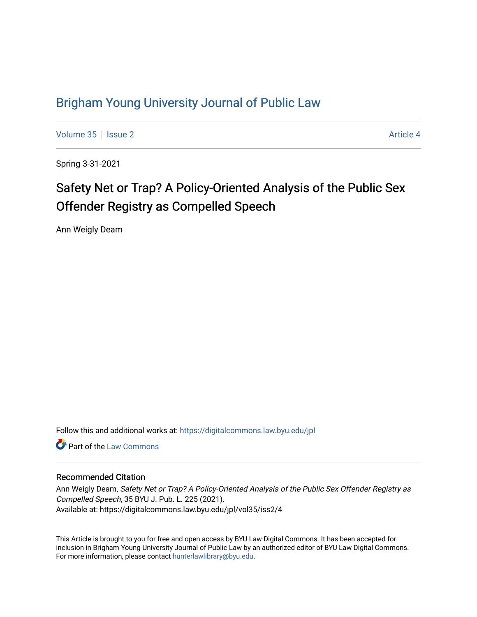## [Brigham Young University Journal of Public Law](https://digitalcommons.law.byu.edu/jpl)

[Volume 35](https://digitalcommons.law.byu.edu/jpl/vol35) | [Issue 2](https://digitalcommons.law.byu.edu/jpl/vol35/iss2) Article 4

Spring 3-31-2021

# Safety Net or Trap? A Policy-Oriented Analysis of the Public Sex Offender Registry as Compelled Speech

Ann Weigly Deam

Follow this and additional works at: [https://digitalcommons.law.byu.edu/jpl](https://digitalcommons.law.byu.edu/jpl?utm_source=digitalcommons.law.byu.edu%2Fjpl%2Fvol35%2Fiss2%2F4&utm_medium=PDF&utm_campaign=PDFCoverPages) 

**C** Part of the [Law Commons](http://network.bepress.com/hgg/discipline/578?utm_source=digitalcommons.law.byu.edu%2Fjpl%2Fvol35%2Fiss2%2F4&utm_medium=PDF&utm_campaign=PDFCoverPages)

#### Recommended Citation

Ann Weigly Deam, Safety Net or Trap? A Policy-Oriented Analysis of the Public Sex Offender Registry as Compelled Speech, 35 BYU J. Pub. L. 225 (2021). Available at: https://digitalcommons.law.byu.edu/jpl/vol35/iss2/4

This Article is brought to you for free and open access by BYU Law Digital Commons. It has been accepted for inclusion in Brigham Young University Journal of Public Law by an authorized editor of BYU Law Digital Commons. For more information, please contact [hunterlawlibrary@byu.edu](mailto:hunterlawlibrary@byu.edu).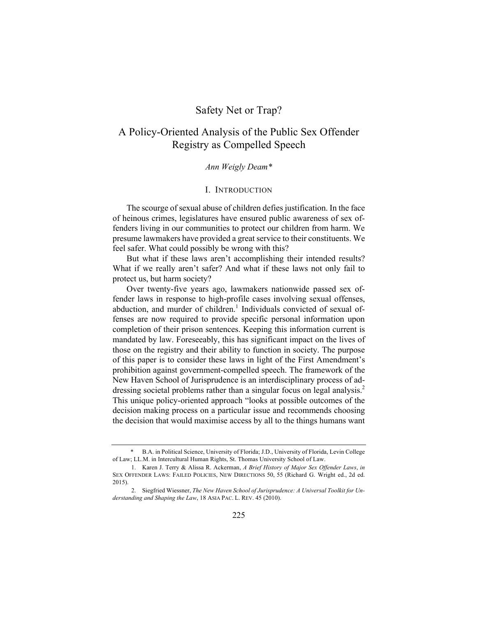### Safety Net or Trap?

## A Policy-Oriented Analysis of the Public Sex Offender Registry as Compelled Speech

#### *Ann Weigly Deam\**

#### I. INTRODUCTION

The scourge of sexual abuse of children defies justification. In the face of heinous crimes, legislatures have ensured public awareness of sex offenders living in our communities to protect our children from harm. We presume lawmakers have provided a great service to their constituents. We feel safer. What could possibly be wrong with this?

But what if these laws aren't accomplishing their intended results? What if we really aren't safer? And what if these laws not only fail to protect us, but harm society?

Over twenty-five years ago, lawmakers nationwide passed sex offender laws in response to high-profile cases involving sexual offenses, abduction, and murder of children.<sup>1</sup> Individuals convicted of sexual offenses are now required to provide specific personal information upon completion of their prison sentences. Keeping this information current is mandated by law. Foreseeably, this has significant impact on the lives of those on the registry and their ability to function in society. The purpose of this paper is to consider these laws in light of the First Amendment's prohibition against government-compelled speech. The framework of the New Haven School of Jurisprudence is an interdisciplinary process of addressing societal problems rather than a singular focus on legal analysis.<sup>2</sup> This unique policy-oriented approach "looks at possible outcomes of the decision making process on a particular issue and recommends choosing the decision that would maximise access by all to the things humans want

B.A. in Political Science, University of Florida; J.D., University of Florida, Levin College of Law; LL.M. in Intercultural Human Rights, St. Thomas University School of Law.

<sup>1.</sup> Karen J. Terry & Alissa R. Ackerman, *A Brief History of Major Sex Offender Laws*, *in* SEX OFFENDER LAWS: FAILED POLICIES, NEW DIRECTIONS 50, 55 (Richard G. Wright ed., 2d ed. 2015).

<sup>2.</sup> Siegfried Wiessner, *The New Haven School of Jurisprudence: A Universal Toolkit for Understanding and Shaping the Law*, 18 ASIA PAC. L. REV. 45 (2010).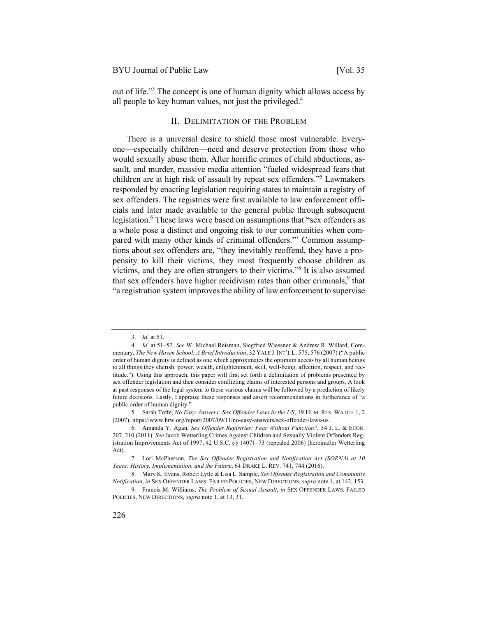out of life."3 The concept is one of human dignity which allows access by all people to key human values, not just the privileged.<sup>4</sup>

#### II. DELIMITATION OF THE PROBLEM

There is a universal desire to shield those most vulnerable. Everyone—especially children—need and deserve protection from those who would sexually abuse them. After horrific crimes of child abductions, assault, and murder, massive media attention "fueled widespread fears that children are at high risk of assault by repeat sex offenders."<sup>5</sup> Lawmakers responded by enacting legislation requiring states to maintain a registry of sex offenders. The registries were first available to law enforcement officials and later made available to the general public through subsequent legislation. $6$  These laws were based on assumptions that "sex offenders as a whole pose a distinct and ongoing risk to our communities when compared with many other kinds of criminal offenders."<sup>7</sup> Common assumptions about sex offenders are, "they inevitably reoffend, they have a propensity to kill their victims, they most frequently choose children as victims, and they are often strangers to their victims."8 It is also assumed that sex offenders have higher recidivism rates than other criminals, $9$  that "a registration system improves the ability of law enforcement to supervise

<sup>3.</sup> *Id.* at 51.

<sup>4.</sup> *Id.* at 51–52. *See* W. Michael Reisman, Siegfried Wiessner & Andrew R. Willard, Commentary, *The New Haven School: A Brief Introduction*, 32 YALE J.INT'L L. 575, 576 (2007) ("A public order of human dignity is defined as one which approximates the optimum access by all human beings to all things they cherish: power, wealth, enlightenment, skill, well-being, affection, respect, and rectitude."). Using this approach, this paper will first set forth a delimitation of problems presented by sex offender legislation and then consider conflicting claims of interested persons and groups. A look at past responses of the legal system to these various claims will be followed by a prediction of likely future decisions. Lastly, I appraise these responses and assert recommendations in furtherance of "a public order of human dignity."

<sup>5.</sup> Sarah Tofte, *No Easy Answers: Sex Offender Laws in the US*, 19 HUM. RTS. WATCH 1, 2 (2007), https://www.hrw.org/report/2007/09/11/no-easy-answers/sex-offender-laws-us.

<sup>6.</sup> Amanda Y. Agan, *Sex Offender Registries: Fear Without Function?*, 54 J. L. & ECON. 207, 210 (2011). *See* Jacob Wetterling Crimes Against Children and Sexually Violent Offenders Registration Improvements Act of 1997, 42 U.S.C. §§ 14071–73 (repealed 2006) [hereinafter Wetterling Act].

<sup>7.</sup> Lori McPherson, *The Sex Offender Registration and Notification Act (SORNA) at 10 Years: History, Implementation, and the Future*, 64 DRAKE L. REV. 741, 744 (2016).

<sup>8.</sup> Mary K. Evans, Robert Lytle & Lisa L. Sample, *Sex Offender Registration and Community Notification*, *in* SEX OFFENDER LAWS: FAILED POLICIES, NEW DIRECTIONS, *supra* note 1, at 142, 153.

<sup>9.</sup> Francis M. Williams, *The Problem of Sexual Assault*, *in* SEX OFFENDER LAWS: FAILED POLICIES, NEW DIRECTIONS, *supra* note 1, at 13, 31.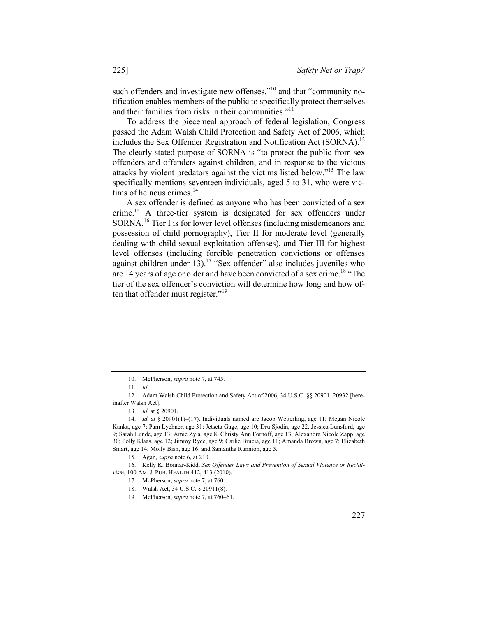such offenders and investigate new offenses,"<sup>10</sup> and that "community notification enables members of the public to specifically protect themselves and their families from risks in their communities."<sup>11</sup>

To address the piecemeal approach of federal legislation, Congress passed the Adam Walsh Child Protection and Safety Act of 2006, which includes the Sex Offender Registration and Notification Act (SORNA).<sup>12</sup> The clearly stated purpose of SORNA is "to protect the public from sex offenders and offenders against children, and in response to the vicious attacks by violent predators against the victims listed below."<sup>13</sup> The law specifically mentions seventeen individuals, aged 5 to 31, who were victims of heinous crimes.<sup>14</sup>

A sex offender is defined as anyone who has been convicted of a sex crime.<sup>15</sup> A three-tier system is designated for sex offenders under SORNA.<sup>16</sup> Tier I is for lower level offenses (including misdemeanors and possession of child pornography), Tier II for moderate level (generally dealing with child sexual exploitation offenses), and Tier III for highest level offenses (including forcible penetration convictions or offenses against children under 13).<sup>17</sup> "Sex offender" also includes juveniles who are 14 years of age or older and have been convicted of a sex crime.<sup>18</sup> "The tier of the sex offender's conviction will determine how long and how often that offender must register."<sup>19</sup>

<sup>10.</sup> McPherson, *supra* note 7, at 745.

<sup>11.</sup> *Id.*

<sup>12.</sup> Adam Walsh Child Protection and Safety Act of 2006, 34 U.S.C. §§ 20901–20932 [hereinafter Walsh Act].

<sup>13.</sup> *Id.* at § 20901.

<sup>14.</sup> *Id.* at § 20901(1)–(17). Individuals named are Jacob Wetterling, age 11; Megan Nicole Kanka, age 7; Pam Lychner, age 31; Jetseta Gage, age 10; Dru Sjodin, age 22, Jessica Lunsford, age 9; Sarah Lunde, age 13; Amie Zyla, age 8; Christy Ann Fornoff, age 13; Alexandra Nicole Zapp, age 30; Polly Klaas, age 12; Jimmy Ryce, age 9; Carlie Brucia, age 11; Amanda Brown, age 7; Elizabeth Smart, age 14; Molly Bish, age 16; and Samantha Runnion, age 5.

<sup>15.</sup> Agan, *supra* note 6, at 210.

<sup>16.</sup> Kelly K. Bonnar-Kidd, *Sex Offender Laws and Prevention of Sexual Violence or Recidivism*, 100 AM. J. PUB. HEALTH 412, 413 (2010).

<sup>17.</sup> McPherson, *supra* note 7, at 760.

<sup>18.</sup> Walsh Act, 34 U.S.C. § 20911(8).

<sup>19.</sup> McPherson, *supra* note 7, at 760–61.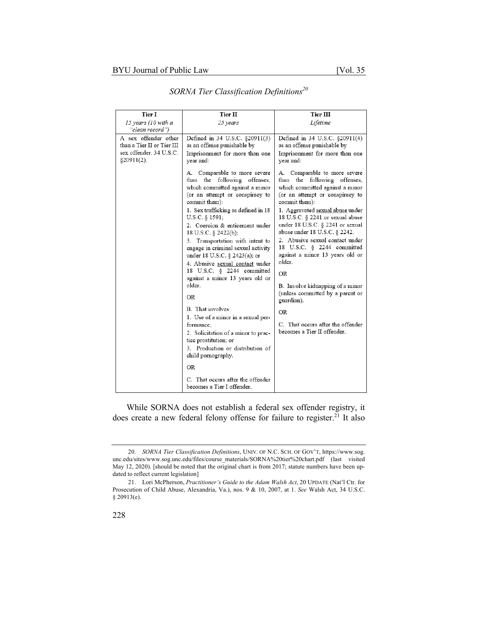| Tier I                                                                                      | Tier II                                                                                                                                                                                                                                                                                                                                                                                                                                                                                                                                                                                                                                                                                                                        | <b>Tier III</b>                                                                                                                                                                                                                                                                                                                                                                                                                                                                                                                                                                                             |
|---------------------------------------------------------------------------------------------|--------------------------------------------------------------------------------------------------------------------------------------------------------------------------------------------------------------------------------------------------------------------------------------------------------------------------------------------------------------------------------------------------------------------------------------------------------------------------------------------------------------------------------------------------------------------------------------------------------------------------------------------------------------------------------------------------------------------------------|-------------------------------------------------------------------------------------------------------------------------------------------------------------------------------------------------------------------------------------------------------------------------------------------------------------------------------------------------------------------------------------------------------------------------------------------------------------------------------------------------------------------------------------------------------------------------------------------------------------|
| 15 years (10 with a<br>"clean record")                                                      | 25 years                                                                                                                                                                                                                                                                                                                                                                                                                                                                                                                                                                                                                                                                                                                       | Lifetime                                                                                                                                                                                                                                                                                                                                                                                                                                                                                                                                                                                                    |
| A sex offender other<br>than a Tier II or Tier III<br>sex offender. 34 U.S.C.<br>§20911(2). | Defined in 34 U.S.C. §20911(3)<br>as an offense punishable by<br>Imprisonment for more than one<br>year and:                                                                                                                                                                                                                                                                                                                                                                                                                                                                                                                                                                                                                   | Defined in 34 U.S.C. §20911(4)<br>as an offense punishable by<br>Imprisonment for more than one<br>year and:                                                                                                                                                                                                                                                                                                                                                                                                                                                                                                |
|                                                                                             | A. Comparable to more severe<br>than<br>the following offenses,<br>which committed against a minor<br>(or an attempt or conspiracy to<br>commit them):<br>1. Sex trafficking as defined in 18<br>U.S.C. § 1591;<br>2. Coercion & enticement under<br>18 U.S.C. § 2422(b);<br>3. Transportation with intent to<br>engage in criminal sexual activity<br>under 18 U.S.C. § 2423(a); or<br>4. Abusive sexual contact under<br>18 U.S.C. § 2244 committed<br>against a minor 13 years old or<br>older.<br><b>OR</b><br>B. That involves:<br>1. Use of a minor in a sexual per-<br>formance:<br>2. Solicitation of a minor to prac-<br>tice prostitution; or<br>3. Production or distribution of<br>child pornography.<br><b>OR</b> | A. Comparable to more severe<br>than<br>the following<br>offenses,<br>which committed against a minor<br>(or an attempt or conspiracy to<br>commit them):<br>1. Aggravated sexual abuse under<br>18 U.S.C. § 2241 or sexual abuse<br>under 18 U.S.C. $\S$ 2241 or sexual<br>abuse under 18 U.S.C. § 2242.<br>2. Abusive sexual contact under<br>18 U.S.C. § 2244 committed<br>against a minor 13 years old or<br>older.<br><b>OR</b><br>B. Involve kidnapping of a minor<br>(unless committed by a parent or<br>guardian).<br><b>OR</b><br>C. That occurs after the offender<br>becomes a Tier II offender. |
|                                                                                             | C. That occurs after the offender<br>becomes a Tier I offender.                                                                                                                                                                                                                                                                                                                                                                                                                                                                                                                                                                                                                                                                |                                                                                                                                                                                                                                                                                                                                                                                                                                                                                                                                                                                                             |

*SORNA Tier Classification Definitions20*

While SORNA does not establish a federal sex offender registry, it does create a new federal felony offense for failure to register.<sup>21</sup> It also

<sup>20.</sup> *SORNA Tier Classification Definitions*, UNIV. OF N.C. SCH. OF GOV'T, https://www.sog. unc.edu/sites/www.sog.unc.edu/files/course\_materials/SORNA%20tier%20chart.pdf (last visited May 12, 2020). [should be noted that the original chart is from 2017; statute numbers have been updated to reflect current legislation]

<sup>21.</sup> Lori McPherson, *Practitioner's Guide to the Adam Walsh Act*, 20 UPDATE (Nat'l Ctr. for Prosecution of Child Abuse, Alexandria, Va.), nos. 9 & 10, 2007, at 1. *See* Walsh Act, 34 U.S.C. § 20913(e).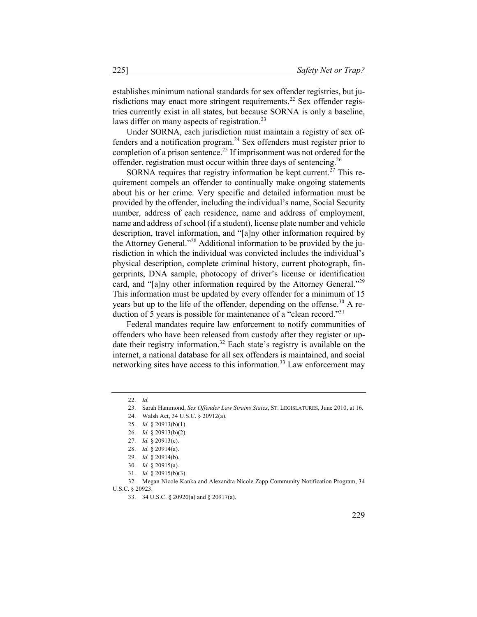establishes minimum national standards for sex offender registries, but jurisdictions may enact more stringent requirements.<sup>22</sup> Sex offender registries currently exist in all states, but because SORNA is only a baseline, laws differ on many aspects of registration.<sup>23</sup>

Under SORNA, each jurisdiction must maintain a registry of sex offenders and a notification program.24 Sex offenders must register prior to completion of a prison sentence.<sup>25</sup> If imprisonment was not ordered for the offender, registration must occur within three days of sentencing.<sup>26</sup>

SORNA requires that registry information be kept current.<sup>27</sup> This requirement compels an offender to continually make ongoing statements about his or her crime. Very specific and detailed information must be provided by the offender, including the individual's name, Social Security number, address of each residence, name and address of employment, name and address of school (if a student), license plate number and vehicle description, travel information, and "[a]ny other information required by the Attorney General."<sup>28</sup> Additional information to be provided by the jurisdiction in which the individual was convicted includes the individual's physical description, complete criminal history, current photograph, fingerprints, DNA sample, photocopy of driver's license or identification card, and "[a]ny other information required by the Attorney General."<sup>29</sup> This information must be updated by every offender for a minimum of 15 years but up to the life of the offender, depending on the offense.<sup>30</sup> A reduction of 5 years is possible for maintenance of a "clean record."<sup>31</sup>

Federal mandates require law enforcement to notify communities of offenders who have been released from custody after they register or update their registry information.<sup>32</sup> Each state's registry is available on the internet, a national database for all sex offenders is maintained, and social networking sites have access to this information.<sup>33</sup> Law enforcement may

32. Megan Nicole Kanka and Alexandra Nicole Zapp Community Notification Program, 34 U.S.C. § 20923.

<sup>22.</sup> *Id.*

<sup>23.</sup> Sarah Hammond, *Sex Offender Law Strains States*, ST. LEGISLATURES, June 2010, at 16.

<sup>24.</sup> Walsh Act, 34 U.S.C. § 20912(a).

<sup>25.</sup> *Id.* § 20913(b)(1).

<sup>26.</sup> *Id.* § 20913(b)(2).

<sup>27.</sup> *Id.* § 20913(c).

<sup>28.</sup> *Id.* § 20914(a).

<sup>29.</sup> *Id.* § 20914(b).

<sup>30.</sup> *Id.* § 20915(a).

<sup>31.</sup> *Id.* § 20915(b)(3).

<sup>33.</sup> 34 U.S.C. § 20920(a) and § 20917(a).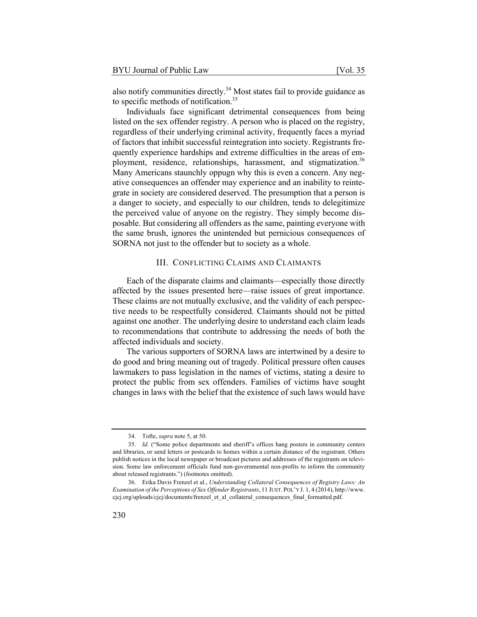also notify communities directly.34 Most states fail to provide guidance as to specific methods of notification.<sup>35</sup>

Individuals face significant detrimental consequences from being listed on the sex offender registry. A person who is placed on the registry, regardless of their underlying criminal activity, frequently faces a myriad of factors that inhibit successful reintegration into society. Registrants frequently experience hardships and extreme difficulties in the areas of employment, residence, relationships, harassment, and stigmatization.<sup>36</sup> Many Americans staunchly oppugn why this is even a concern. Any negative consequences an offender may experience and an inability to reintegrate in society are considered deserved. The presumption that a person is a danger to society, and especially to our children, tends to delegitimize the perceived value of anyone on the registry. They simply become disposable. But considering all offenders as the same, painting everyone with the same brush, ignores the unintended but pernicious consequences of SORNA not just to the offender but to society as a whole.

#### III. CONFLICTING CLAIMS AND CLAIMANTS

Each of the disparate claims and claimants—especially those directly affected by the issues presented here—raise issues of great importance. These claims are not mutually exclusive, and the validity of each perspective needs to be respectfully considered. Claimants should not be pitted against one another. The underlying desire to understand each claim leads to recommendations that contribute to addressing the needs of both the affected individuals and society.

The various supporters of SORNA laws are intertwined by a desire to do good and bring meaning out of tragedy. Political pressure often causes lawmakers to pass legislation in the names of victims, stating a desire to protect the public from sex offenders. Families of victims have sought changes in laws with the belief that the existence of such laws would have

<sup>34.</sup> Tofte, *supra* note 5, at 50.

<sup>35.</sup> *Id.* ("Some police departments and sheriff's offices hang posters in community centers and libraries, or send letters or postcards to homes within a certain distance of the registrant. Others publish notices in the local newspaper or broadcast pictures and addresses of the registrants on television. Some law enforcement officials fund non-governmental non-profits to inform the community about released registrants.") (footnotes omitted).

<sup>36.</sup> Erika Davis Frenzel et al., *Understanding Collateral Consequences of Registry Laws: An Examination of the Perceptions of Sex Offender Registrants*, 11 JUST. POL'Y J. 1, 4 (2014), http://www. cjcj.org/uploads/cjcj/documents/frenzel\_et\_al\_collateral\_consequences\_final\_formatted.pdf.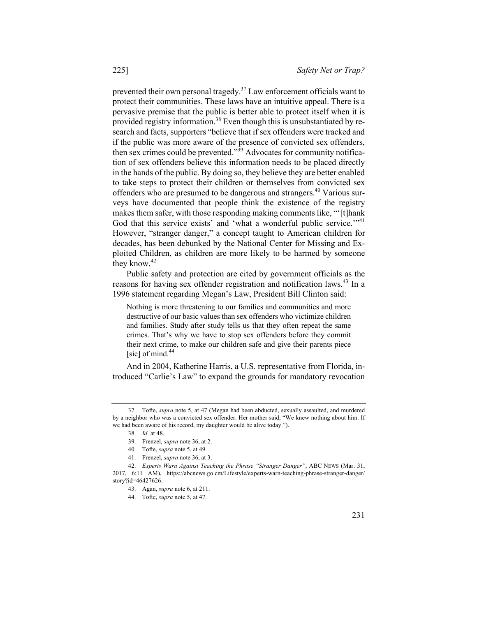prevented their own personal tragedy.<sup>37</sup> Law enforcement officials want to protect their communities. These laws have an intuitive appeal. There is a pervasive premise that the public is better able to protect itself when it is provided registry information.<sup>38</sup> Even though this is unsubstantiated by research and facts, supporters "believe that if sex offenders were tracked and if the public was more aware of the presence of convicted sex offenders, then sex crimes could be prevented.<sup> $n\hat{39}$ </sup> Advocates for community notification of sex offenders believe this information needs to be placed directly in the hands of the public. By doing so, they believe they are better enabled to take steps to protect their children or themselves from convicted sex offenders who are presumed to be dangerous and strangers.<sup>40</sup> Various surveys have documented that people think the existence of the registry makes them safer, with those responding making comments like, "'[t]hank God that this service exists' and 'what a wonderful public service.'"<sup>41</sup> However, "stranger danger," a concept taught to American children for decades, has been debunked by the National Center for Missing and Exploited Children, as children are more likely to be harmed by someone they know. $42$ 

Public safety and protection are cited by government officials as the reasons for having sex offender registration and notification laws.<sup>43</sup> In a 1996 statement regarding Megan's Law, President Bill Clinton said:

Nothing is more threatening to our families and communities and more destructive of our basic values than sex offenders who victimize children and families. Study after study tells us that they often repeat the same crimes. That's why we have to stop sex offenders before they commit their next crime, to make our children safe and give their parents piece [sic] of mind. $44$ 

And in 2004, Katherine Harris, a U.S. representative from Florida, introduced "Carlie's Law" to expand the grounds for mandatory revocation

<sup>37.</sup> Tofte, *supra* note 5, at 47 (Megan had been abducted, sexually assaulted, and murdered by a neighbor who was a convicted sex offender. Her mother said, "We knew nothing about him. If we had been aware of his record, my daughter would be alive today.").

<sup>38.</sup> *Id.* at 48.

<sup>39.</sup> Frenzel, *supra* note 36, at 2.

<sup>40.</sup> Tofte, *supra* note 5, at 49.

<sup>41.</sup> Frenzel, *supra* note 36, at 3.

<sup>42.</sup> *Experts Warn Against Teaching the Phrase "Stranger Danger"*, ABC NEWS (Mar. 31, 2017, 6:11 AM), https://abcnews.go.cm/Lifestyle/experts-warn-teaching-phrase-stranger-danger/ story?id=46427626.

<sup>43.</sup> Agan, *supra* note 6, at 211.

<sup>44.</sup> Tofte, *supra* note 5, at 47.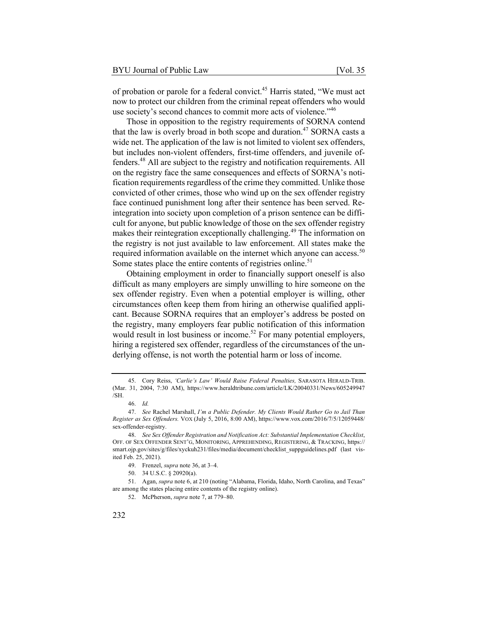of probation or parole for a federal convict.<sup>45</sup> Harris stated, "We must act now to protect our children from the criminal repeat offenders who would use society's second chances to commit more acts of violence."<sup>46</sup>

Those in opposition to the registry requirements of SORNA contend that the law is overly broad in both scope and duration.<sup>47</sup> SORNA casts a wide net. The application of the law is not limited to violent sex offenders, but includes non-violent offenders, first-time offenders, and juvenile offenders.48 All are subject to the registry and notification requirements. All on the registry face the same consequences and effects of SORNA's notification requirements regardless of the crime they committed. Unlike those convicted of other crimes, those who wind up on the sex offender registry face continued punishment long after their sentence has been served. Reintegration into society upon completion of a prison sentence can be difficult for anyone, but public knowledge of those on the sex offender registry makes their reintegration exceptionally challenging.<sup>49</sup> The information on the registry is not just available to law enforcement. All states make the required information available on the internet which anyone can access.<sup>50</sup> Some states place the entire contents of registries online.<sup>51</sup>

Obtaining employment in order to financially support oneself is also difficult as many employers are simply unwilling to hire someone on the sex offender registry. Even when a potential employer is willing, other circumstances often keep them from hiring an otherwise qualified applicant. Because SORNA requires that an employer's address be posted on the registry, many employers fear public notification of this information would result in lost business or income.<sup>52</sup> For many potential employers, hiring a registered sex offender, regardless of the circumstances of the underlying offense, is not worth the potential harm or loss of income.

<sup>45.</sup> Cory Reiss, *'Carlie's Law' Would Raise Federal Penalties,* SARASOTA HERALD-TRIB. (Mar. 31, 2004, 7:30 AM), https://www.heraldtribune.com/article/LK/20040331/News/605249947 /SH.

<sup>46.</sup> *Id.*

<sup>47.</sup> *See* Rachel Marshall, *I'm a Public Defender. My Clients Would Rather Go to Jail Than Register as Sex Offenders.* VOX (July 5, 2016, 8:00 AM), https://www.vox.com/2016/7/5/12059448/ sex-offender-registry.

<sup>48.</sup> *See Sex Offender Registration and Notification Act: Substantial Implementation Checklist*, OFF. OF SEX OFFENDER SENT'G, MONITORING, APPREHENDING, REGISTERING, & TRACKING, https:// smart.ojp.gov/sites/g/files/xyckuh231/files/media/document/checklist\_suppguidelines.pdf (last visited Feb. 25, 2021).

<sup>49.</sup> Frenzel, *supra* note 36, at 3–4.

<sup>50.</sup> 34 U.S.C. § 20920(a).

<sup>51.</sup> Agan, *supra* note 6, at 210 (noting "Alabama, Florida, Idaho, North Carolina, and Texas" are among the states placing entire contents of the registry online).

<sup>52.</sup> McPherson, *supra* note 7, at 779–80.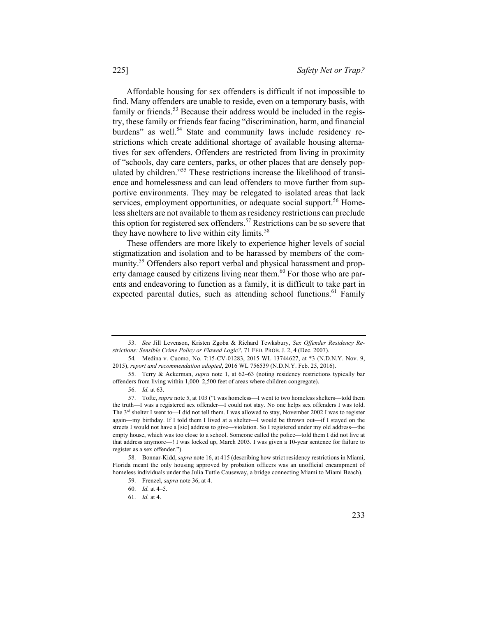Affordable housing for sex offenders is difficult if not impossible to find. Many offenders are unable to reside, even on a temporary basis, with family or friends.<sup>53</sup> Because their address would be included in the registry, these family or friends fear facing "discrimination, harm, and financial burdens" as well.<sup>54</sup> State and community laws include residency restrictions which create additional shortage of available housing alternatives for sex offenders. Offenders are restricted from living in proximity of "schools, day care centers, parks, or other places that are densely populated by children."55 These restrictions increase the likelihood of transience and homelessness and can lead offenders to move further from supportive environments. They may be relegated to isolated areas that lack services, employment opportunities, or adequate social support.<sup>56</sup> Homeless shelters are not available to them as residency restrictions can preclude this option for registered sex offenders.<sup>57</sup> Restrictions can be so severe that they have nowhere to live within city limits.<sup>58</sup>

These offenders are more likely to experience higher levels of social stigmatization and isolation and to be harassed by members of the community.<sup>59</sup> Offenders also report verbal and physical harassment and property damage caused by citizens living near them.<sup>60</sup> For those who are parents and endeavoring to function as a family, it is difficult to take part in expected parental duties, such as attending school functions.<sup>61</sup> Family

58. Bonnar-Kidd, *supra* note 16, at 415 (describing how strict residency restrictions in Miami, Florida meant the only housing approved by probation officers was an unofficial encampment of homeless individuals under the Julia Tuttle Causeway, a bridge connecting Miami to Miami Beach).

<sup>53.</sup> *See* Jill Levenson, Kristen Zgoba & Richard Tewksbury, *Sex Offender Residency Restrictions: Sensible Crime Policy or Flawed Logic?*, 71 FED. PROB. J. 2, 4 (Dec. 2007).

<sup>54</sup>*.* Medina v. Cuomo*,* No. 7:15-CV-01283, 2015 WL 13744627, at \*3 (N.D.N.Y. Nov. 9, 2015), *report and recommendation adopted*, 2016 WL 756539 (N.D.N.Y. Feb. 25, 2016).

<sup>55.</sup> Terry & Ackerman, *supra* note 1, at 62–63 (noting residency restrictions typically bar offenders from living within 1,000–2,500 feet of areas where children congregate).

<sup>56.</sup> *Id.* at 63.

<sup>57.</sup> Tofte, *supra* note 5, at 103 ("I was homeless—I went to two homeless shelters—told them the truth—I was a registered sex offender—I could not stay. No one helps sex offenders I was told. The  $3<sup>rd</sup>$  shelter I went to—I did not tell them. I was allowed to stay, November 2002 I was to register again—my birthday. If I told them I lived at a shelter—I would be thrown out—if I stayed on the streets I would not have a [sic] address to give—violation. So I registered under my old address—the empty house, which was too close to a school. Someone called the police—told them I did not live at that address anymore—! I was locked up, March 2003. I was given a 10-year sentence for failure to register as a sex offender.").

<sup>59.</sup> Frenzel, *supra* note 36, at 4.

<sup>60.</sup> *Id.* at 4–5.

<sup>61.</sup> *Id.* at 4.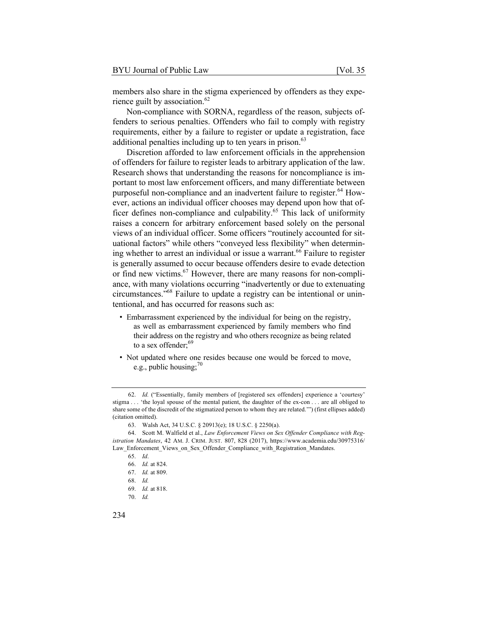members also share in the stigma experienced by offenders as they experience guilt by association. $62$ 

Non-compliance with SORNA, regardless of the reason, subjects offenders to serious penalties. Offenders who fail to comply with registry requirements, either by a failure to register or update a registration, face additional penalties including up to ten years in prison.<sup>63</sup>

Discretion afforded to law enforcement officials in the apprehension of offenders for failure to register leads to arbitrary application of the law. Research shows that understanding the reasons for noncompliance is important to most law enforcement officers, and many differentiate between purposeful non-compliance and an inadvertent failure to register.<sup>64</sup> However, actions an individual officer chooses may depend upon how that officer defines non-compliance and culpability.<sup>65</sup> This lack of uniformity raises a concern for arbitrary enforcement based solely on the personal views of an individual officer. Some officers "routinely accounted for situational factors" while others "conveyed less flexibility" when determining whether to arrest an individual or issue a warrant.<sup>66</sup> Failure to register is generally assumed to occur because offenders desire to evade detection or find new victims.<sup>67</sup> However, there are many reasons for non-compliance, with many violations occurring "inadvertently or due to extenuating circumstances."68 Failure to update a registry can be intentional or unintentional, and has occurred for reasons such as:

- Embarrassment experienced by the individual for being on the registry, as well as embarrassment experienced by family members who find their address on the registry and who others recognize as being related to a sex offender:<sup>69</sup>
- Not updated where one resides because one would be forced to move, e.g., public housing;  $70^{\circ}$

<sup>62.</sup> *Id.* ("Essentially, family members of [registered sex offenders] experience a 'courtesy' stigma . . . 'the loyal spouse of the mental patient, the daughter of the ex-con . . . are all obliged to share some of the discredit of the stigmatized person to whom they are related.'") (first ellipses added) (citation omitted).

<sup>63.</sup> Walsh Act, 34 U.S.C. § 20913(e); 18 U.S.C. § 2250(a).

<sup>64.</sup> Scott M. Walfield et al., *Law Enforcement Views on Sex Offender Compliance with Registration Mandates*, 42 AM. J. CRIM. JUST. 807, 828 (2017), https://www.academia.edu/30975316/ Law\_Enforcement\_Views\_on\_Sex\_Offender\_Compliance\_with\_Registration\_Mandates.

<sup>65.</sup> *Id*.

<sup>66.</sup> *Id.* at 824.

<sup>67.</sup> *Id.* at 809.

<sup>68.</sup> *Id.*

<sup>69.</sup> *Id.* at 818.

<sup>70.</sup> *Id.*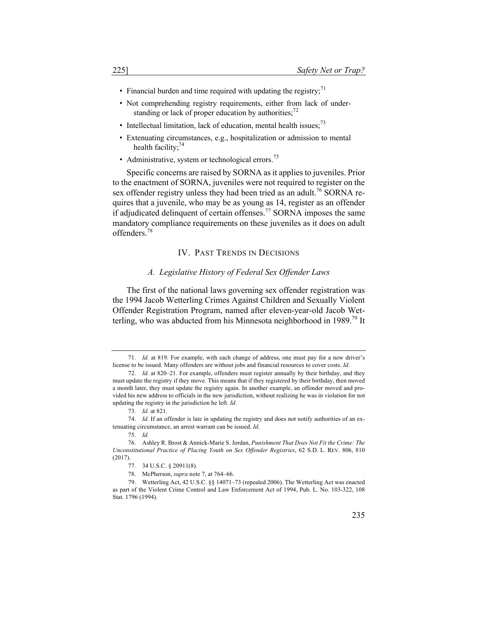- Financial burden and time required with updating the registry;<sup>71</sup>
- Not comprehending registry requirements, either from lack of understanding or lack of proper education by authorities; $^{72}$
- Intellectual limitation, lack of education, mental health issues;  $^{73}$
- Extenuating circumstances, e.g., hospitalization or admission to mental health facility: $74$
- Administrative, system or technological errors.<sup>75</sup>

Specific concerns are raised by SORNA as it applies to juveniles. Prior to the enactment of SORNA, juveniles were not required to register on the sex offender registry unless they had been tried as an adult.<sup>76</sup> SORNA requires that a juvenile, who may be as young as 14, register as an offender if adjudicated delinquent of certain offenses.<sup>77</sup> SORNA imposes the same mandatory compliance requirements on these juveniles as it does on adult offenders.<sup>78</sup>

#### IV. PAST TRENDS IN DECISIONS

#### *A. Legislative History of Federal Sex Offender Laws*

The first of the national laws governing sex offender registration was the 1994 Jacob Wetterling Crimes Against Children and Sexually Violent Offender Registration Program, named after eleven-year-old Jacob Wetterling, who was abducted from his Minnesota neighborhood in 1989.<sup>79</sup> It

<sup>71.</sup> *Id.* at 819. For example, with each change of address, one must pay for a new driver's license to be issued. Many offenders are without jobs and financial resources to cover costs. *Id*.

<sup>72.</sup> *Id.* at 820–21. For example, offenders must register annually by their birthday, and they must update the registry if they move. This means that if they registered by their birthday, then moved a month later, they must update the registry again. In another example, an offender moved and provided his new address to officials in the new jurisdiction, without realizing he was in violation for not updating the registry in the jurisdiction he left. *Id*.

<sup>73.</sup> *Id.* at 821.

<sup>74.</sup> *Id.* If an offender is late in updating the registry and does not notify authorities of an extenuating circumstance, an arrest warrant can be issued. *Id*.

<sup>75.</sup> *Id.*

<sup>76.</sup> Ashley R. Brost & Annick-Marie S. Jordan, *Punishment That Does Not Fit the Crime: The Unconstitutional Practice of Placing Youth on Sex Offender Registries*, 62 S.D. L. REV. 806, 810 (2017).

<sup>77.</sup> 34 U.S.C. § 20911(8).

<sup>78.</sup> McPherson, *supra* note 7, at 764–66.

<sup>79.</sup> Wetterling Act, 42 U.S.C. §§ 14071–73 (repealed 2006). The Wetterling Act was enacted as part of the Violent Crime Control and Law Enforcement Act of 1994, Pub. L. No. 103-322, 108 Stat. 1796 (1994).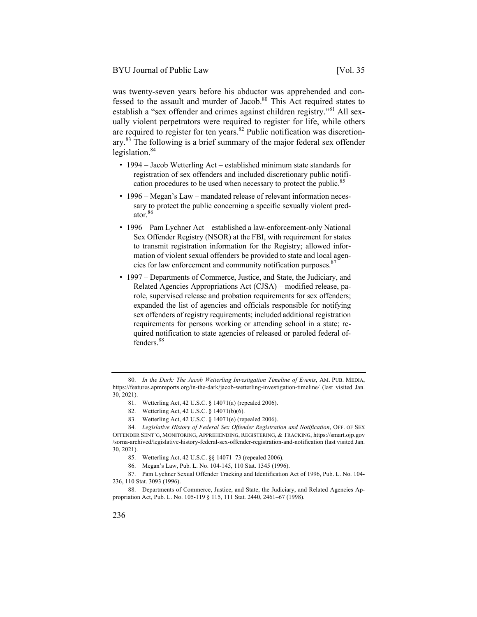was twenty-seven years before his abductor was apprehended and confessed to the assault and murder of Jacob.<sup>80</sup> This Act required states to establish a "sex offender and crimes against children registry."<sup>81</sup> All sexually violent perpetrators were required to register for life, while others are required to register for ten years.<sup>82</sup> Public notification was discretionary.83 The following is a brief summary of the major federal sex offender legislation.<sup>84</sup>

- 1994 Jacob Wetterling Act established minimum state standards for registration of sex offenders and included discretionary public notification procedures to be used when necessary to protect the public.<sup>85</sup>
- 1996 Megan's Law mandated release of relevant information necessary to protect the public concerning a specific sexually violent predator.<sup>86</sup>
- 1996 Pam Lychner Act established a law-enforcement-only National Sex Offender Registry (NSOR) at the FBI, with requirement for states to transmit registration information for the Registry; allowed information of violent sexual offenders be provided to state and local agencies for law enforcement and community notification purposes. $87$
- 1997 Departments of Commerce, Justice, and State, the Judiciary, and Related Agencies Appropriations Act (CJSA) – modified release, parole, supervised release and probation requirements for sex offenders; expanded the list of agencies and officials responsible for notifying sex offenders of registry requirements; included additional registration requirements for persons working or attending school in a state; required notification to state agencies of released or paroled federal offenders.<sup>88</sup>

<sup>80.</sup> *In the Dark: The Jacob Wetterling Investigation Timeline of Events*, AM. PUB. MEDIA, https://features.apmreports.org/in-the-dark/jacob-wetterling-investigation-timeline/ (last visited Jan. 30, 2021).

<sup>81.</sup> Wetterling Act, 42 U.S.C. § 14071(a) (repealed 2006).

<sup>82.</sup> Wetterling Act, 42 U.S.C. § 14071(b)(6).

<sup>83.</sup> Wetterling Act, 42 U.S.C. § 14071(e) (repealed 2006).

<sup>84.</sup> *Legislative History of Federal Sex Offender Registration and Notification*, OFF. OF SEX OFFENDER SENT'G, MONITORING, APPREHENDING, REGISTERING, & TRACKING, https://smart.ojp.gov /sorna-archived/legislative-history-federal-sex-offender-registration-and-notification (last visited Jan. 30, 2021).

<sup>85.</sup> Wetterling Act, 42 U.S.C. §§ 14071–73 (repealed 2006).

<sup>86.</sup> Megan's Law, Pub. L. No. 104-145, 110 Stat. 1345 (1996).

<sup>87.</sup> Pam Lychner Sexual Offender Tracking and Identification Act of 1996, Pub. L. No. 104- 236, 110 Stat. 3093 (1996).

<sup>88.</sup> Departments of Commerce, Justice, and State, the Judiciary, and Related Agencies Appropriation Act, Pub. L. No. 105-119 § 115, 111 Stat. 2440, 2461–67 (1998).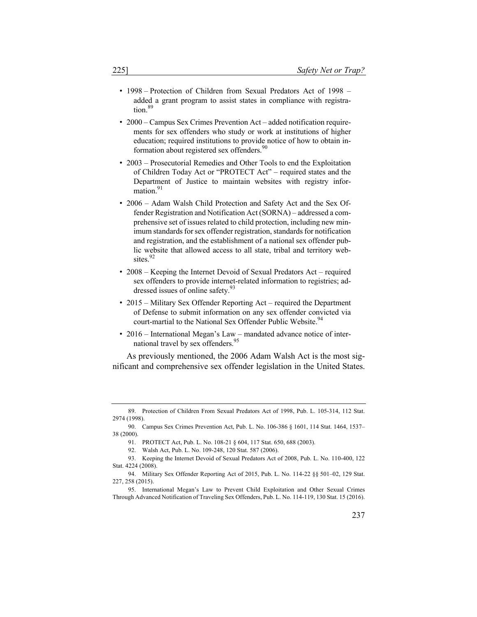- 1998 Protection of Children from Sexual Predators Act of 1998 added a grant program to assist states in compliance with registra- $\frac{1}{100}$ .89
- 2000 Campus Sex Crimes Prevention Act added notification requirements for sex offenders who study or work at institutions of higher education; required institutions to provide notice of how to obtain information about registered sex offenders.<sup>90</sup>
- 2003 Prosecutorial Remedies and Other Tools to end the Exploitation of Children Today Act or "PROTECT Act" – required states and the Department of Justice to maintain websites with registry information.<sup>91</sup>
- 2006 Adam Walsh Child Protection and Safety Act and the Sex Offender Registration and Notification Act (SORNA) – addressed a comprehensive set of issues related to child protection, including new minimum standards for sex offender registration, standards for notification and registration, and the establishment of a national sex offender public website that allowed access to all state, tribal and territory websites.<sup>92</sup>
- 2008 Keeping the Internet Devoid of Sexual Predators Act required sex offenders to provide internet-related information to registries; addressed issues of online safety.<sup>93</sup>
- 2015 Military Sex Offender Reporting Act required the Department of Defense to submit information on any sex offender convicted via court-martial to the National Sex Offender Public Website.<sup>94</sup>
- 2016 International Megan's Law mandated advance notice of international travel by sex offenders.<sup>95</sup>

As previously mentioned, the 2006 Adam Walsh Act is the most significant and comprehensive sex offender legislation in the United States.

<sup>89.</sup> Protection of Children From Sexual Predators Act of 1998, Pub. L. 105-314, 112 Stat. 2974 (1998).

<sup>90.</sup> Campus Sex Crimes Prevention Act, Pub. L. No. 106-386 § 1601, 114 Stat. 1464, 1537– 38 (2000).

<sup>91.</sup> PROTECT Act, Pub. L. No. 108-21 § 604, 117 Stat. 650, 688 (2003).

<sup>92.</sup> Walsh Act, Pub. L. No. 109-248, 120 Stat. 587 (2006).

<sup>93.</sup> Keeping the Internet Devoid of Sexual Predators Act of 2008, Pub. L. No. 110-400, 122 Stat. 4224 (2008).

<sup>94.</sup> Military Sex Offender Reporting Act of 2015, Pub. L. No. 114-22 §§ 501–02, 129 Stat. 227, 258 (2015).

<sup>95.</sup> International Megan's Law to Prevent Child Exploitation and Other Sexual Crimes Through Advanced Notification of Traveling Sex Offenders, Pub. L. No. 114-119, 130 Stat. 15 (2016).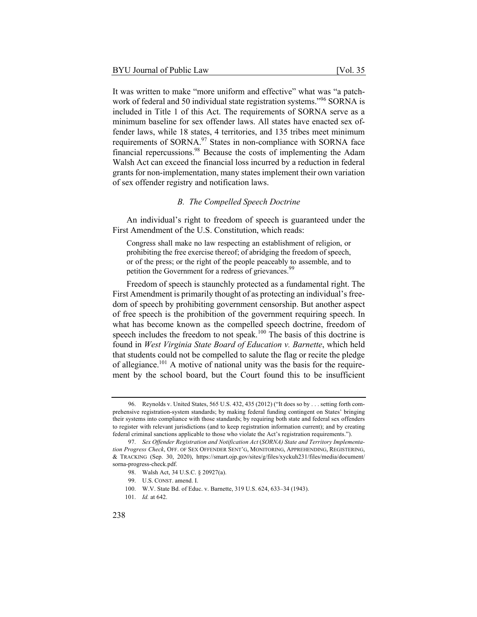It was written to make "more uniform and effective" what was "a patchwork of federal and 50 individual state registration systems."<sup>96</sup> SORNA is included in Title 1 of this Act. The requirements of SORNA serve as a minimum baseline for sex offender laws. All states have enacted sex offender laws, while 18 states, 4 territories, and 135 tribes meet minimum requirements of SORNA.<sup>97</sup> States in non-compliance with SORNA face financial repercussions.98 Because the costs of implementing the Adam Walsh Act can exceed the financial loss incurred by a reduction in federal grants for non-implementation, many states implement their own variation of sex offender registry and notification laws.

#### *B. The Compelled Speech Doctrine*

An individual's right to freedom of speech is guaranteed under the First Amendment of the U.S. Constitution, which reads:

Congress shall make no law respecting an establishment of religion, or prohibiting the free exercise thereof; of abridging the freedom of speech, or of the press; or the right of the people peaceably to assemble, and to petition the Government for a redress of grievances.<sup>99</sup>

Freedom of speech is staunchly protected as a fundamental right. The First Amendment is primarily thought of as protecting an individual's freedom of speech by prohibiting government censorship. But another aspect of free speech is the prohibition of the government requiring speech. In what has become known as the compelled speech doctrine, freedom of speech includes the freedom to not speak.<sup>100</sup> The basis of this doctrine is found in *West Virginia State Board of Education v. Barnette*, which held that students could not be compelled to salute the flag or recite the pledge of allegiance.<sup>101</sup> A motive of national unity was the basis for the requirement by the school board, but the Court found this to be insufficient

<sup>96.</sup> Reynolds v. United States, 565 U.S. 432, 435 (2012) ("It does so by . . . setting forth comprehensive registration-system standards; by making federal funding contingent on States' bringing their systems into compliance with those standards; by requiring both state and federal sex offenders to register with relevant jurisdictions (and to keep registration information current); and by creating federal criminal sanctions applicable to those who violate the Act's registration requirements.").

<sup>97.</sup> *Sex Offender Registration and Notification Act* (*SORNA) State and Territory Implementation Progress Check*, OFF. OF SEX OFFENDER SENT'G, MONITORING, APPREHENDING, REGISTERING, & TRACKING (Sep. 30, 2020), https://smart.ojp.gov/sites/g/files/xyckuh231/files/media/document/ sorna-progress-check.pdf.

<sup>98.</sup> Walsh Act, 34 U.S.C. § 20927(a).

<sup>99.</sup> U.S. CONST. amend. I.

<sup>100.</sup> W.V. State Bd. of Educ. v. Barnette, 319 U.S. 624, 633–34 (1943).

<sup>101.</sup> *Id.* at 642.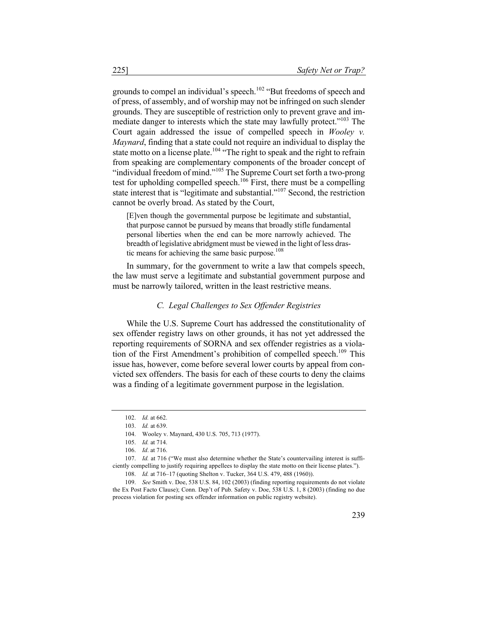grounds to compel an individual's speech.<sup>102</sup> "But freedoms of speech and of press, of assembly, and of worship may not be infringed on such slender grounds. They are susceptible of restriction only to prevent grave and immediate danger to interests which the state may lawfully protect."<sup>103</sup> The Court again addressed the issue of compelled speech in *Wooley v. Maynard*, finding that a state could not require an individual to display the state motto on a license plate.<sup>104</sup> "The right to speak and the right to refrain from speaking are complementary components of the broader concept of "individual freedom of mind."<sup>105</sup> The Supreme Court set forth a two-prong test for upholding compelled speech.<sup>106</sup> First, there must be a compelling state interest that is "legitimate and substantial."<sup>107</sup> Second, the restriction cannot be overly broad. As stated by the Court,

[E]ven though the governmental purpose be legitimate and substantial, that purpose cannot be pursued by means that broadly stifle fundamental personal liberties when the end can be more narrowly achieved. The breadth of legislative abridgment must be viewed in the light of less drastic means for achieving the same basic purpose.<sup>108</sup>

In summary, for the government to write a law that compels speech, the law must serve a legitimate and substantial government purpose and must be narrowly tailored, written in the least restrictive means.

#### *C. Legal Challenges to Sex Offender Registries*

While the U.S. Supreme Court has addressed the constitutionality of sex offender registry laws on other grounds, it has not yet addressed the reporting requirements of SORNA and sex offender registries as a violation of the First Amendment's prohibition of compelled speech.<sup>109</sup> This issue has, however, come before several lower courts by appeal from convicted sex offenders. The basis for each of these courts to deny the claims was a finding of a legitimate government purpose in the legislation.

<sup>102.</sup> *Id.* at 662.

<sup>103.</sup> *Id.* at 639.

<sup>104.</sup> Wooley v. Maynard, 430 U.S. 705, 713 (1977).

<sup>105.</sup> *Id.* at 714.

<sup>106.</sup> *Id*. at 716.

<sup>107.</sup> *Id.* at 716 ("We must also determine whether the State's countervailing interest is sufficiently compelling to justify requiring appellees to display the state motto on their license plates.").

<sup>108.</sup> *Id.* at 716–17 (quoting Shelton v. Tucker, 364 U.S. 479, 488 (1960)).

<sup>109.</sup> *See* Smith v. Doe, 538 U.S. 84, 102 (2003) (finding reporting requirements do not violate the Ex Post Facto Clause); Conn. Dep't of Pub. Safety v. Doe, 538 U.S. 1, 8 (2003) (finding no due process violation for posting sex offender information on public registry website).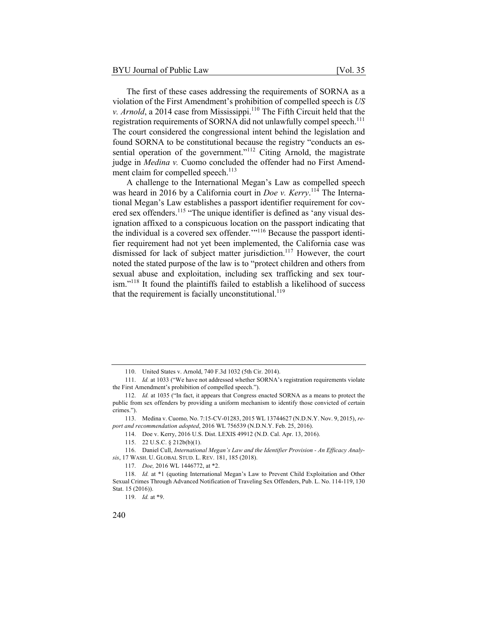The first of these cases addressing the requirements of SORNA as a violation of the First Amendment's prohibition of compelled speech is *US v. Arnold*, a 2014 case from Mississippi.<sup>110</sup> The Fifth Circuit held that the registration requirements of SORNA did not unlawfully compel speech.<sup>111</sup> The court considered the congressional intent behind the legislation and found SORNA to be constitutional because the registry "conducts an essential operation of the government."<sup>112</sup> Citing Arnold, the magistrate judge in *Medina v.* Cuomo concluded the offender had no First Amendment claim for compelled speech.<sup>113</sup>

A challenge to the International Megan's Law as compelled speech was heard in 2016 by a California court in *Doe v. Kerry*.<sup>114</sup> The International Megan's Law establishes a passport identifier requirement for covered sex offenders.<sup>115</sup> "The unique identifier is defined as 'any visual designation affixed to a conspicuous location on the passport indicating that the individual is a covered sex offender."<sup>116</sup> Because the passport identifier requirement had not yet been implemented, the California case was dismissed for lack of subject matter jurisdiction.<sup>117</sup> However, the court noted the stated purpose of the law is to "protect children and others from sexual abuse and exploitation, including sex trafficking and sex tourism."<sup>118</sup> It found the plaintiffs failed to establish a likelihood of success that the requirement is facially unconstitutional.<sup>119</sup>

<sup>110.</sup> United States v. Arnold, 740 F.3d 1032 (5th Cir. 2014).

<sup>111.</sup> *Id.* at 1033 ("We have not addressed whether SORNA's registration requirements violate the First Amendment's prohibition of compelled speech.").

<sup>112.</sup> *Id.* at 1035 ("In fact, it appears that Congress enacted SORNA as a means to protect the public from sex offenders by providing a uniform mechanism to identify those convicted of certain crimes.").

<sup>113.</sup> Medina v. Cuomo*,* No. 7:15-CV-01283, 2015 WL 13744627 (N.D.N.Y. Nov. 9, 2015), *report and recommendation adopted*, 2016 WL 756539 (N.D.N.Y. Feb. 25, 2016).

<sup>114.</sup> Doe v. Kerry, 2016 U.S. Dist. LEXIS 49912 (N.D. Cal. Apr. 13, 2016).

<sup>115.</sup> 22 U.S.C. § 212b(b)(1).

<sup>116.</sup> Daniel Cull, *International Megan's Law and the Identifier Provision - An Efficacy Analysis*, 17 WASH. U. GLOBAL STUD. L. REV. 181, 185 (2018).

<sup>117.</sup> *Doe,* 2016 WL 1446772, at \*2.

<sup>118.</sup> *Id.* at \*1 (quoting International Megan's Law to Prevent Child Exploitation and Other Sexual Crimes Through Advanced Notification of Traveling Sex Offenders, Pub. L. No. 114-119, 130 Stat. 15 (2016)).

<sup>119.</sup> *Id.* at \*9.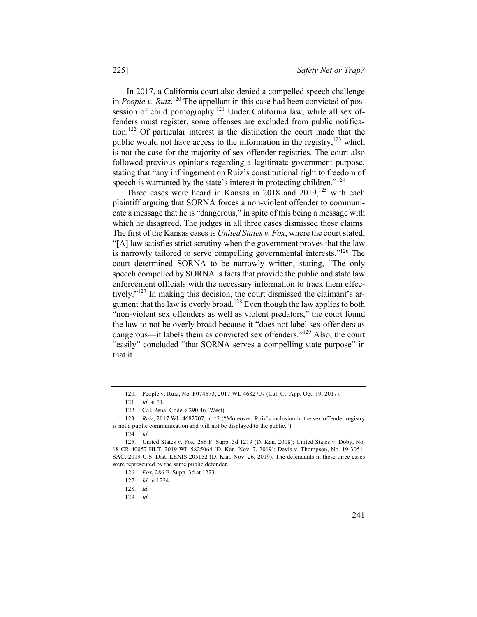In 2017, a California court also denied a compelled speech challenge in *People v. Ruiz*.<sup>120</sup> The appellant in this case had been convicted of possession of child pornography.<sup>121</sup> Under California law, while all sex offenders must register, some offenses are excluded from public notification.<sup>122</sup> Of particular interest is the distinction the court made that the public would not have access to the information in the registry, $123$  which is not the case for the majority of sex offender registries. The court also followed previous opinions regarding a legitimate government purpose, stating that "any infringement on Ruiz's constitutional right to freedom of speech is warranted by the state's interest in protecting children."<sup>124</sup>

Three cases were heard in Kansas in 2018 and  $2019$ ,<sup>125</sup> with each plaintiff arguing that SORNA forces a non-violent offender to communicate a message that he is "dangerous," in spite of this being a message with which he disagreed. The judges in all three cases dismissed these claims. The first of the Kansas cases is *United States v. Fox*, where the court stated, "[A] law satisfies strict scrutiny when the government proves that the law is narrowly tailored to serve compelling governmental interests."<sup>126</sup> The court determined SORNA to be narrowly written, stating, "The only speech compelled by SORNA is facts that provide the public and state law enforcement officials with the necessary information to track them effectively."<sup>127</sup> In making this decision, the court dismissed the claimant's argument that the law is overly broad.<sup>128</sup> Even though the law applies to both "non-violent sex offenders as well as violent predators," the court found the law to not be overly broad because it "does not label sex offenders as dangerous—it labels them as convicted sex offenders."<sup>129</sup> Also, the court "easily" concluded "that SORNA serves a compelling state purpose" in that it

<sup>120.</sup> People v. Ruiz, No. F074673, 2017 WL 4682707 (Cal. Ct. App. Oct. 19, 2017).

<sup>121.</sup> *Id.* at \*1.

<sup>122.</sup> Cal. Penal Code § 290.46 (West).

<sup>123.</sup> *Ruiz*, 2017 WL 4682707, at \*2 ("Moreover, Ruiz's inclusion in the sex offender registry is not a public communication and will not be displayed to the public.").

<sup>124.</sup> *Id.*

<sup>125.</sup> United States v. Fox, 286 F. Supp. 3d 1219 (D. Kan. 2018); United States v. Doby, No. 18-CR-40057-HLT, 2019 WL 5825064 (D. Kan. Nov. 7, 2019); Davis v. Thompson, No. 19-3051- SAC, 2019 U.S. Dist. LEXIS 205152 (D. Kan. Nov. 26, 2019). The defendants in these three cases were represented by the same public defender.

<sup>126.</sup> *Fox*, 286 F. Supp. 3d at 1223.

<sup>127.</sup> *Id.* at 1224.

<sup>128.</sup> *Id.*

<sup>129.</sup> *Id.*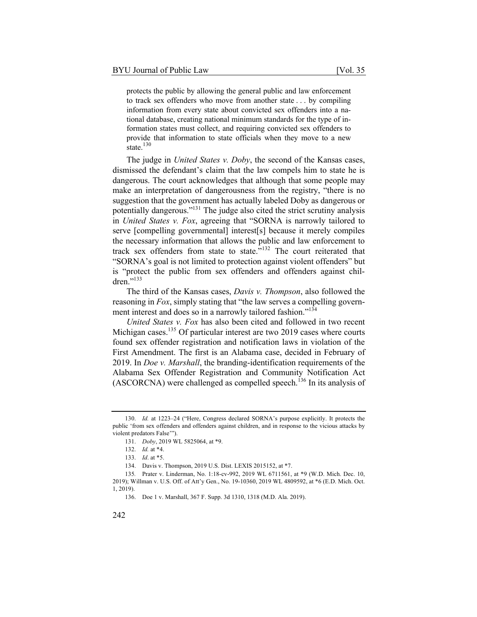state. $130$ 

protects the public by allowing the general public and law enforcement to track sex offenders who move from another state . . . by compiling information from every state about convicted sex offenders into a national database, creating national minimum standards for the type of information states must collect, and requiring convicted sex offenders to provide that information to state officials when they move to a new

The judge in *United States v. Doby*, the second of the Kansas cases, dismissed the defendant's claim that the law compels him to state he is dangerous. The court acknowledges that although that some people may make an interpretation of dangerousness from the registry, "there is no suggestion that the government has actually labeled Doby as dangerous or potentially dangerous."<sup>131</sup> The judge also cited the strict scrutiny analysis in *United States v. Fox*, agreeing that "SORNA is narrowly tailored to serve [compelling governmental] interest[s] because it merely compiles the necessary information that allows the public and law enforcement to track sex offenders from state to state. $^{5132}$  The court reiterated that "SORNA's goal is not limited to protection against violent offenders" but is "protect the public from sex offenders and offenders against children."<sup>133</sup>

The third of the Kansas cases, *Davis v. Thompson*, also followed the reasoning in *Fox*, simply stating that "the law serves a compelling government interest and does so in a narrowly tailored fashion."<sup>134</sup>

*United States v. Fox* has also been cited and followed in two recent Michigan cases.<sup>135</sup> Of particular interest are two 2019 cases where courts found sex offender registration and notification laws in violation of the First Amendment. The first is an Alabama case, decided in February of 2019. In *Doe v. Marshall*, the branding-identification requirements of the Alabama Sex Offender Registration and Community Notification Act  $(ASCORCNA)$  were challenged as compelled speech.<sup>136</sup> In its analysis of

<sup>130.</sup> *Id.* at 1223–24 ("Here, Congress declared SORNA's purpose explicitly. It protects the public 'from sex offenders and offenders against children, and in response to the vicious attacks by violent predators False'").

<sup>131.</sup> *Doby*, 2019 WL 5825064, at \*9.

<sup>132.</sup> *Id.* at \*4.

<sup>133.</sup> *Id*. at \*5.

<sup>134.</sup> Davis v. Thompson, 2019 U.S. Dist. LEXIS 2015152, at \*7.

<sup>135</sup>*.* Prater v. Linderman, No. 1:18-cv-992, 2019 WL 6711561, at \*9 (W.D. Mich. Dec. 10, 2019); Willman v. U.S. Off. of Att'y Gen., No. 19-10360, 2019 WL 4809592, at \*6 (E.D. Mich. Oct. 1, 2019).

<sup>136.</sup> Doe 1 v. Marshall, 367 F. Supp. 3d 1310, 1318 (M.D. Ala. 2019).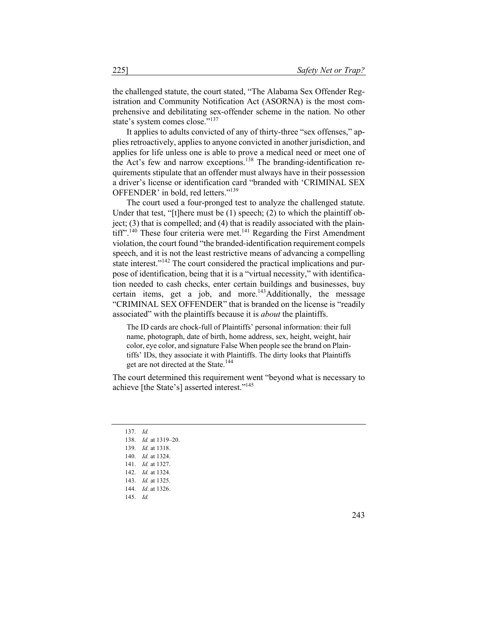the challenged statute, the court stated, "The Alabama Sex Offender Registration and Community Notification Act (ASORNA) is the most comprehensive and debilitating sex-offender scheme in the nation. No other state's system comes close."<sup>137</sup>

It applies to adults convicted of any of thirty-three "sex offenses," applies retroactively, applies to anyone convicted in another jurisdiction, and applies for life unless one is able to prove a medical need or meet one of the Act's few and narrow exceptions.<sup>138</sup> The branding-identification requirements stipulate that an offender must always have in their possession a driver's license or identification card "branded with 'CRIMINAL SEX OFFENDER' in bold, red letters."<sup>139</sup>

The court used a four-pronged test to analyze the challenged statute. Under that test, "[t]here must be (1) speech; (2) to which the plaintiff object;  $(3)$  that is compelled; and  $(4)$  that is readily associated with the plain- $\text{diff}^{(140)}$  These four criteria were met.<sup>141</sup> Regarding the First Amendment violation, the court found "the branded-identification requirement compels speech, and it is not the least restrictive means of advancing a compelling state interest."<sup>142</sup> The court considered the practical implications and purpose of identification, being that it is a "virtual necessity," with identification needed to cash checks, enter certain buildings and businesses, buy certain items, get a job, and more.<sup>143</sup>Additionally, the message "CRIMINAL SEX OFFENDER" that is branded on the license is "readily associated" with the plaintiffs because it is *about* the plaintiffs.

The ID cards are chock-full of Plaintiffs' personal information: their full name, photograph, date of birth, home address, sex, height, weight, hair color, eye color, and signature False When people see the brand on Plaintiffs' IDs, they associate it with Plaintiffs. The dirty looks that Plaintiffs get are not directed at the State.<sup>144</sup>

The court determined this requirement went "beyond what is necessary to achieve [the State's] asserted interest."145

137. *Id.* 138. *Id.* at 1319–20. 139. *Id.* at 1318. 140. *Id.* at 1324. 141. *Id.* at 1327. 142. *Id.* at 1324. 143. *Id.* at 1325. 144. *Id*. at 1326. 145. *Id.*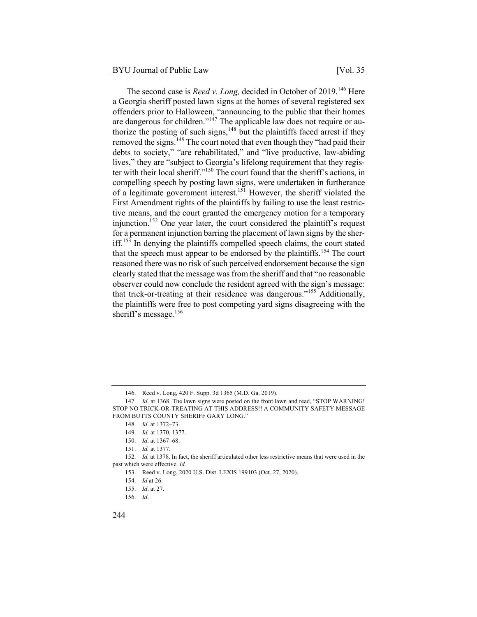The second case is *Reed v. Long,* decided in October of 2019.<sup>146</sup> Here a Georgia sheriff posted lawn signs at the homes of several registered sex offenders prior to Halloween, "announcing to the public that their homes are dangerous for children."<sup>147</sup> The applicable law does not require or authorize the posting of such signs,<sup>148</sup> but the plaintiffs faced arrest if they removed the signs.<sup>149</sup> The court noted that even though they "had paid their debts to society," "are rehabilitated," and "live productive, law-abiding lives," they are "subject to Georgia's lifelong requirement that they register with their local sheriff."<sup>150</sup> The court found that the sheriff's actions, in compelling speech by posting lawn signs, were undertaken in furtherance of a legitimate government interest.<sup>151</sup> However, the sheriff violated the First Amendment rights of the plaintiffs by failing to use the least restrictive means, and the court granted the emergency motion for a temporary injunction.<sup>152</sup> One year later, the court considered the plaintiff's request for a permanent injunction barring the placement of lawn signs by the sher- $\int$ iff.<sup>153</sup> In denying the plaintiffs compelled speech claims, the court stated that the speech must appear to be endorsed by the plaintiffs.<sup>154</sup> The court reasoned there was no risk of such perceived endorsement because the sign clearly stated that the message was from the sheriff and that "no reasonable observer could now conclude the resident agreed with the sign's message: that trick-or-treating at their residence was dangerous."<sup>155</sup> Additionally, the plaintiffs were free to post competing yard signs disagreeing with the sheriff's message.<sup>156</sup>

<sup>146.</sup> Reed v. Long, 420 F. Supp. 3d 1365 (M.D. Ga. 2019).

<sup>147.</sup> *Id.* at 1368. The lawn signs were posted on the front lawn and read, "STOP WARNING! STOP NO TRICK-OR-TREATING AT THIS ADDRESS!! A COMMUNITY SAFETY MESSAGE FROM BUTTS COUNTY SHERIFF GARY LONG."

<sup>148.</sup> *Id*. at 1372–73.

<sup>149.</sup> *Id.* at 1370, 1377.

<sup>150.</sup> *Id*. at 1367–68.

<sup>151.</sup> *Id.* at 1377.

<sup>152.</sup> *Id.* at 1378. In fact, the sheriff articulated other less restrictive means that were used in the past which were effective. *Id.*

<sup>153.</sup> Reed v. Long, 2020 U.S. Dist. LEXIS 199103 (Oct. 27, 2020).

<sup>154.</sup> *Id* at 26.

<sup>155.</sup> *Id*. at 27.

<sup>156.</sup> *Id*.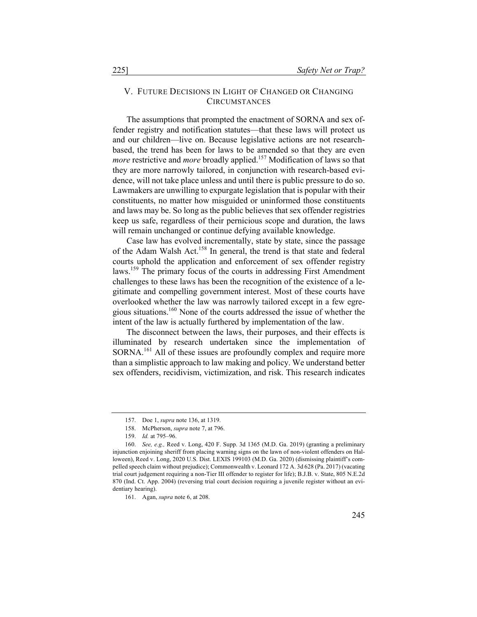#### V. FUTURE DECISIONS IN LIGHT OF CHANGED OR CHANGING **CIRCUMSTANCES**

The assumptions that prompted the enactment of SORNA and sex offender registry and notification statutes—that these laws will protect us and our children—live on. Because legislative actions are not researchbased, the trend has been for laws to be amended so that they are even *more* restrictive and *more* broadly applied.<sup>157</sup> Modification of laws so that they are more narrowly tailored, in conjunction with research-based evidence, will not take place unless and until there is public pressure to do so. Lawmakers are unwilling to expurgate legislation that is popular with their constituents, no matter how misguided or uninformed those constituents and laws may be. So long as the public believes that sex offender registries keep us safe, regardless of their pernicious scope and duration, the laws will remain unchanged or continue defying available knowledge.

Case law has evolved incrementally, state by state, since the passage of the Adam Walsh Act.<sup>158</sup> In general, the trend is that state and federal courts uphold the application and enforcement of sex offender registry laws.159 The primary focus of the courts in addressing First Amendment challenges to these laws has been the recognition of the existence of a legitimate and compelling government interest. Most of these courts have overlooked whether the law was narrowly tailored except in a few egregious situations.<sup>160</sup> None of the courts addressed the issue of whether the intent of the law is actually furthered by implementation of the law.

The disconnect between the laws, their purposes, and their effects is illuminated by research undertaken since the implementation of SORNA.<sup>161</sup> All of these issues are profoundly complex and require more than a simplistic approach to law making and policy. We understand better sex offenders, recidivism, victimization, and risk. This research indicates

<sup>157.</sup> Doe 1, *supra* note 136, at 1319.

<sup>158.</sup> McPherson, *supra* note 7, at 796.

<sup>159.</sup> *Id.* at 795–96.

<sup>160.</sup> *See, e.g.,* Reed v. Long, 420 F. Supp. 3d 1365 (M.D. Ga. 2019) (granting a preliminary injunction enjoining sheriff from placing warning signs on the lawn of non-violent offenders on Halloween), Reed v. Long, 2020 U.S. Dist. LEXIS 199103 (M.D. Ga. 2020) (dismissing plaintiff's compelled speech claim without prejudice); Commonwealth v. Leonard 172 A. 3d 628 (Pa. 2017) (vacating trial court judgement requiring a non-Tier III offender to register for life); B.J.B. v. State, 805 N.E.2d 870 (Ind. Ct. App. 2004) (reversing trial court decision requiring a juvenile register without an evidentiary hearing).

<sup>161.</sup> Agan, *supra* note 6, at 208.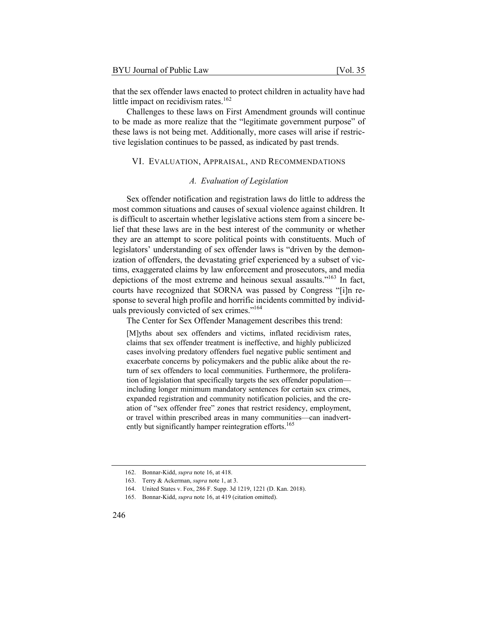that the sex offender laws enacted to protect children in actuality have had little impact on recidivism rates. $162$ 

Challenges to these laws on First Amendment grounds will continue to be made as more realize that the "legitimate government purpose" of these laws is not being met. Additionally, more cases will arise if restrictive legislation continues to be passed, as indicated by past trends.

#### VI. EVALUATION, APPRAISAL, AND RECOMMENDATIONS

#### *A. Evaluation of Legislation*

Sex offender notification and registration laws do little to address the most common situations and causes of sexual violence against children. It is difficult to ascertain whether legislative actions stem from a sincere belief that these laws are in the best interest of the community or whether they are an attempt to score political points with constituents. Much of legislators' understanding of sex offender laws is "driven by the demonization of offenders, the devastating grief experienced by a subset of victims, exaggerated claims by law enforcement and prosecutors, and media depictions of the most extreme and heinous sexual assaults."<sup>163</sup> In fact, courts have recognized that SORNA was passed by Congress "[i]n response to several high profile and horrific incidents committed by individuals previously convicted of sex crimes."<sup>164</sup>

The Center for Sex Offender Management describes this trend:

[M]yths about sex offenders and victims, inflated recidivism rates, claims that sex offender treatment is ineffective, and highly publicized cases involving predatory offenders fuel negative public sentiment and exacerbate concerns by policymakers and the public alike about the return of sex offenders to local communities. Furthermore, the proliferation of legislation that specifically targets the sex offender population including longer minimum mandatory sentences for certain sex crimes, expanded registration and community notification policies, and the creation of "sex offender free" zones that restrict residency, employment, or travel within prescribed areas in many communities—can inadvertently but significantly hamper reintegration efforts.<sup>165</sup>

<sup>162.</sup> Bonnar-Kidd, *supra* note 16, at 418.

<sup>163.</sup> Terry & Ackerman, *supra* note 1, at 3.

<sup>164.</sup> United States v. Fox, 286 F. Supp. 3d 1219, 1221 (D. Kan. 2018).

<sup>165.</sup> Bonnar-Kidd, *supra* note 16, at 419 (citation omitted).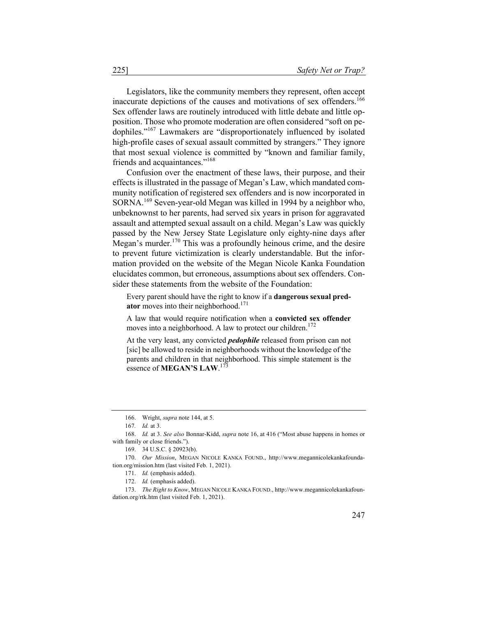Legislators, like the community members they represent, often accept inaccurate depictions of the causes and motivations of sex offenders.<sup>166</sup> Sex offender laws are routinely introduced with little debate and little opposition. Those who promote moderation are often considered "soft on pedophiles."167 Lawmakers are "disproportionately influenced by isolated high-profile cases of sexual assault committed by strangers." They ignore that most sexual violence is committed by "known and familiar family, friends and acquaintances."<sup>168</sup>

Confusion over the enactment of these laws, their purpose, and their effects is illustrated in the passage of Megan's Law, which mandated community notification of registered sex offenders and is now incorporated in SORNA.<sup>169</sup> Seven-year-old Megan was killed in 1994 by a neighbor who, unbeknownst to her parents, had served six years in prison for aggravated assault and attempted sexual assault on a child. Megan's Law was quickly passed by the New Jersey State Legislature only eighty-nine days after Megan's murder.<sup>170</sup> This was a profoundly heinous crime, and the desire to prevent future victimization is clearly understandable. But the information provided on the website of the Megan Nicole Kanka Foundation elucidates common, but erroneous, assumptions about sex offenders. Consider these statements from the website of the Foundation:

Every parent should have the right to know if a **dangerous sexual pred**ator moves into their neighborhood.<sup>171</sup>

A law that would require notification when a **convicted sex offender** moves into a neighborhood. A law to protect our children. $172$ 

At the very least, any convicted *pedophile* released from prison can not [sic] be allowed to reside in neighborhoods without the knowledge of the parents and children in that neighborhood. This simple statement is the essence of **MEGAN'S LAW**. 173

<sup>166.</sup> Wright, *supra* note 144, at 5.

<sup>167</sup>*. Id.* at 3.

<sup>168.</sup> *Id.* at 3. *See also* Bonnar-Kidd, *supra* note 16, at 416 ("Most abuse happens in homes or with family or close friends.").

<sup>169.</sup> 34 U.S.C. § 20923(b).

<sup>170.</sup> *Our Mission*, MEGAN NICOLE KANKA FOUND., http://www.megannicolekankafoundation.org/mission.htm (last visited Feb. 1, 2021).

<sup>171.</sup> *Id.* (emphasis added).

<sup>172.</sup> *Id.* (emphasis added).

<sup>173.</sup> *The Right to Know*, MEGAN NICOLE KANKA FOUND., http://www.megannicolekankafoundation.org/rtk.htm (last visited Feb. 1, 2021).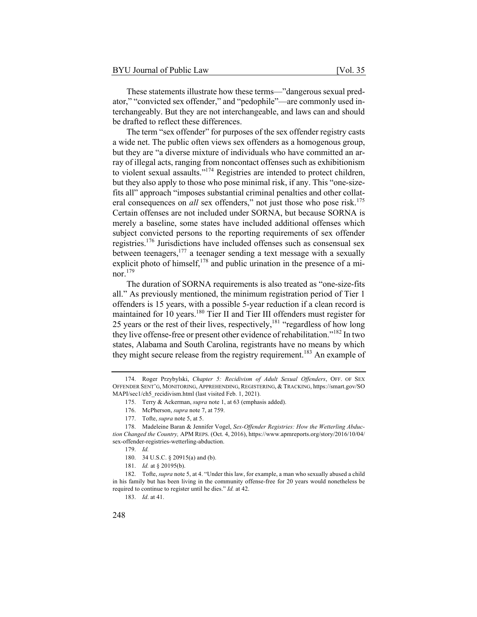These statements illustrate how these terms—"dangerous sexual predator," "convicted sex offender," and "pedophile"—are commonly used interchangeably. But they are not interchangeable, and laws can and should be drafted to reflect these differences.

The term "sex offender" for purposes of the sex offender registry casts a wide net. The public often views sex offenders as a homogenous group, but they are "a diverse mixture of individuals who have committed an array of illegal acts, ranging from noncontact offenses such as exhibitionism to violent sexual assaults."174 Registries are intended to protect children, but they also apply to those who pose minimal risk, if any. This "one-sizefits all" approach "imposes substantial criminal penalties and other collateral consequences on *all* sex offenders," not just those who pose risk.<sup>175</sup> Certain offenses are not included under SORNA, but because SORNA is merely a baseline, some states have included additional offenses which subject convicted persons to the reporting requirements of sex offender registries.<sup>176</sup> Jurisdictions have included offenses such as consensual sex between teenagers,177 a teenager sending a text message with a sexually explicit photo of himself,<sup>178</sup> and public urination in the presence of a minor.<sup>179</sup>

The duration of SORNA requirements is also treated as "one-size-fits all." As previously mentioned, the minimum registration period of Tier 1 offenders is 15 years, with a possible 5-year reduction if a clean record is maintained for 10 years.<sup>180</sup> Tier II and Tier III offenders must register for 25 years or the rest of their lives, respectively, $181$  "regardless of how long they live offense-free or present other evidence of rehabilitation."<sup>182</sup> In two states, Alabama and South Carolina, registrants have no means by which they might secure release from the registry requirement.<sup>183</sup> An example of

183. *Id*. at 41.

<sup>174.</sup> Roger Przybylski, *Chapter 5: Recidivism of Adult Sexual Offenders*, OFF. OF SEX OFFENDER SENT'G, MONITORING, APPREHENDING, REGISTERING, & TRACKING, https://smart.gov/SO MAPI/sec1/ch5\_recidivism.html (last visited Feb. 1, 2021).

<sup>175.</sup> Terry & Ackerman, *supra* note 1, at 63 (emphasis added).

<sup>176.</sup> McPherson, *supra* note 7, at 759.

<sup>177.</sup> Tofte, *supra* note 5, at 5.

<sup>178.</sup> Madeleine Baran & Jennifer Vogel, *Sex-Offender Registries: How the Wetterling Abduction Changed the Country,* APM REPS. (Oct. 4, 2016), https://www.apmreports.org/story/2016/10/04/ sex-offender-registries-wetterling-abduction.

<sup>179.</sup> *Id.*

<sup>180.</sup> 34 U.S.C. § 20915(a) and (b).

<sup>181.</sup> *Id.* at § 20195(b).

<sup>182.</sup> Tofte, *supra* note 5, at 4. "Under this law, for example, a man who sexually abused a child in his family but has been living in the community offense-free for 20 years would nonetheless be required to continue to register until he dies." *Id.* at 42.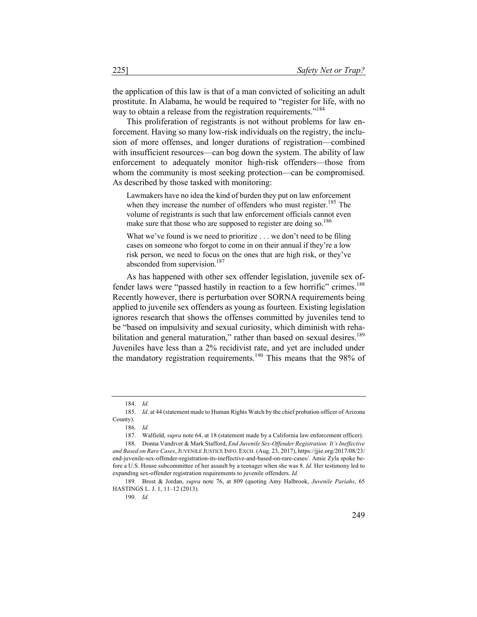the application of this law is that of a man convicted of soliciting an adult prostitute. In Alabama, he would be required to "register for life, with no way to obtain a release from the registration requirements."<sup>184</sup>

This proliferation of registrants is not without problems for law enforcement. Having so many low-risk individuals on the registry, the inclusion of more offenses, and longer durations of registration—combined with insufficient resources—can bog down the system. The ability of law enforcement to adequately monitor high-risk offenders—those from whom the community is most seeking protection—can be compromised. As described by those tasked with monitoring:

Lawmakers have no idea the kind of burden they put on law enforcement when they increase the number of offenders who must register.<sup>185</sup> The volume of registrants is such that law enforcement officials cannot even make sure that those who are supposed to register are doing so.<sup>186</sup>

What we've found is we need to prioritize . . . we don't need to be filing cases on someone who forgot to come in on their annual if they're a low risk person, we need to focus on the ones that are high risk, or they've absconded from supervision.<sup>187</sup>

As has happened with other sex offender legislation, juvenile sex offender laws were "passed hastily in reaction to a few horrific" crimes.<sup>188</sup> Recently however, there is perturbation over SORNA requirements being applied to juvenile sex offenders as young as fourteen. Existing legislation ignores research that shows the offenses committed by juveniles tend to be "based on impulsivity and sexual curiosity, which diminish with rehabilitation and general maturation," rather than based on sexual desires.<sup>189</sup> Juveniles have less than a 2% recidivist rate, and yet are included under the mandatory registration requirements.<sup>190</sup> This means that the 98% of

<sup>184.</sup> *Id*.

<sup>185.</sup> *Id*. at 44 (statement made to Human Rights Watch by the chief probation officer of Arizona County).

<sup>186.</sup> *Id.*

<sup>187.</sup> Walfield, *supra* note 64, at 18 (statement made by a California law enforcement officer).

<sup>188.</sup> Donna Vandiver & Mark Stafford, *End Juvenile Sex-Offender Registration: It's Ineffective and Based on Rare Cases*, JUVENILE JUSTICE INFO. EXCH. (Aug. 23, 2017), https://jjie.org/2017/08/23/ end-juvenile-sex-offender-registration-its-ineffective-and-based-on-rare-cases/. Amie Zyla spoke before a U.S. House subcommittee of her assault by a teenager when she was 8. *Id.* Her testimony led to expanding sex-offender registration requirements to juvenile offenders. *Id.*

<sup>189.</sup> Brost & Jordan, *supra* note 76, at 809 (quoting Amy Halbrook, *Juvenile Pariahs*, 65 HASTINGS L. J. 1, 11–12 (2013).

<sup>190.</sup> *Id.*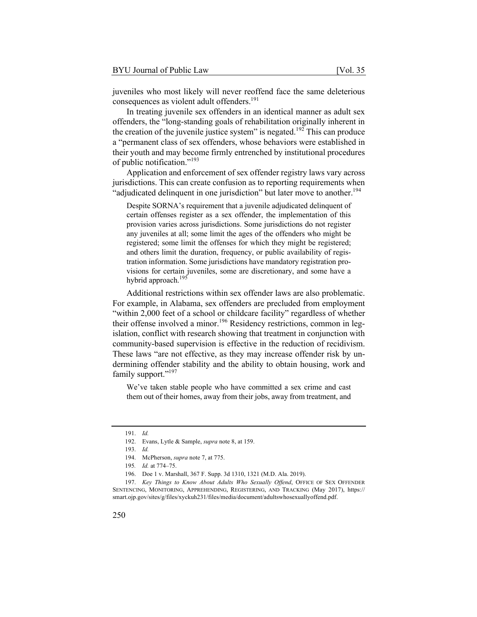juveniles who most likely will never reoffend face the same deleterious consequences as violent adult offenders.<sup>191</sup>

In treating juvenile sex offenders in an identical manner as adult sex offenders, the "long-standing goals of rehabilitation originally inherent in the creation of the juvenile justice system" is negated.<sup>192</sup> This can produce a "permanent class of sex offenders, whose behaviors were established in their youth and may become firmly entrenched by institutional procedures of public notification."<sup>193</sup>

Application and enforcement of sex offender registry laws vary across jurisdictions. This can create confusion as to reporting requirements when "adjudicated delinquent in one jurisdiction" but later move to another.<sup>194</sup>

Despite SORNA's requirement that a juvenile adjudicated delinquent of certain offenses register as a sex offender, the implementation of this provision varies across jurisdictions. Some jurisdictions do not register any juveniles at all; some limit the ages of the offenders who might be registered; some limit the offenses for which they might be registered; and others limit the duration, frequency, or public availability of registration information. Some jurisdictions have mandatory registration provisions for certain juveniles, some are discretionary, and some have a hybrid approach.<sup>195</sup>

Additional restrictions within sex offender laws are also problematic. For example, in Alabama, sex offenders are precluded from employment "within 2,000 feet of a school or childcare facility" regardless of whether their offense involved a minor.<sup>196</sup> Residency restrictions, common in legislation, conflict with research showing that treatment in conjunction with community-based supervision is effective in the reduction of recidivism. These laws "are not effective, as they may increase offender risk by undermining offender stability and the ability to obtain housing, work and family support."<sup>197</sup>

We've taken stable people who have committed a sex crime and cast them out of their homes, away from their jobs, away from treatment, and

<sup>191.</sup> *Id.*

<sup>192.</sup> Evans, Lytle & Sample, *supra* note 8, at 159.

<sup>193.</sup> *Id.*

<sup>194.</sup> McPherson, *supra* note 7, at 775.

<sup>195</sup>*. Id.* at 774–75.

<sup>196.</sup> Doe 1 v. Marshall, 367 F. Supp. 3d 1310, 1321 (M.D. Ala. 2019).

<sup>197.</sup> *Key Things to Know About Adults Who Sexually Offend*, OFFICE OF SEX OFFENDER SENTENCING, MONITORING, APPREHENDING, REGISTERING, AND TRACKING (May 2017), https:// smart.ojp.gov/sites/g/files/xyckuh231/files/media/document/adultswhosexuallyoffend.pdf.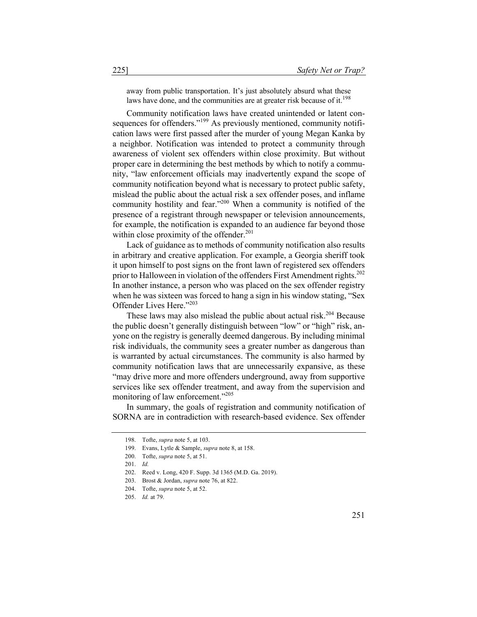away from public transportation. It's just absolutely absurd what these laws have done, and the communities are at greater risk because of it.<sup>198</sup>

Community notification laws have created unintended or latent consequences for offenders."<sup>199</sup> As previously mentioned, community notification laws were first passed after the murder of young Megan Kanka by a neighbor. Notification was intended to protect a community through awareness of violent sex offenders within close proximity. But without proper care in determining the best methods by which to notify a community, "law enforcement officials may inadvertently expand the scope of community notification beyond what is necessary to protect public safety, mislead the public about the actual risk a sex offender poses, and inflame community hostility and fear."200 When a community is notified of the presence of a registrant through newspaper or television announcements, for example, the notification is expanded to an audience far beyond those within close proximity of the offender.<sup>201</sup>

Lack of guidance as to methods of community notification also results in arbitrary and creative application. For example, a Georgia sheriff took it upon himself to post signs on the front lawn of registered sex offenders prior to Halloween in violation of the offenders First Amendment rights.<sup>202</sup> In another instance, a person who was placed on the sex offender registry when he was sixteen was forced to hang a sign in his window stating, "Sex Offender Lives Here."<sup>203</sup>

These laws may also mislead the public about actual risk.<sup>204</sup> Because the public doesn't generally distinguish between "low" or "high" risk, anyone on the registry is generally deemed dangerous. By including minimal risk individuals, the community sees a greater number as dangerous than is warranted by actual circumstances. The community is also harmed by community notification laws that are unnecessarily expansive, as these "may drive more and more offenders underground, away from supportive services like sex offender treatment, and away from the supervision and monitoring of law enforcement."<sup>205</sup>

In summary, the goals of registration and community notification of SORNA are in contradiction with research-based evidence. Sex offender

<sup>198.</sup> Tofte, *supra* note 5, at 103.

<sup>199.</sup> Evans, Lytle & Sample, *supra* note 8, at 158.

<sup>200.</sup> Tofte, *supra* note 5, at 51.

<sup>201.</sup> *Id.*

<sup>202.</sup> Reed v. Long, 420 F. Supp. 3d 1365 (M.D. Ga. 2019).

<sup>203.</sup> Brost & Jordan, *supra* note 76, at 822.

<sup>204.</sup> Tofte, *supra* note 5, at 52.

<sup>205.</sup> *Id.* at 79.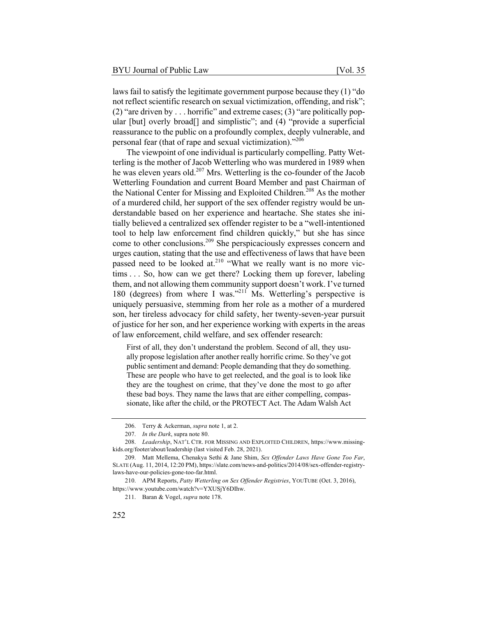laws fail to satisfy the legitimate government purpose because they (1) "do not reflect scientific research on sexual victimization, offending, and risk"; (2) "are driven by . . . horrific" and extreme cases; (3) "are politically popular [but] overly broad<sup>[]</sup> and simplistic"; and (4) "provide a superficial reassurance to the public on a profoundly complex, deeply vulnerable, and personal fear (that of rape and sexual victimization)."206

The viewpoint of one individual is particularly compelling. Patty Wetterling is the mother of Jacob Wetterling who was murdered in 1989 when he was eleven years old.<sup>207</sup> Mrs. Wetterling is the co-founder of the Jacob Wetterling Foundation and current Board Member and past Chairman of the National Center for Missing and Exploited Children.<sup>208</sup> As the mother of a murdered child, her support of the sex offender registry would be understandable based on her experience and heartache. She states she initially believed a centralized sex offender register to be a "well-intentioned tool to help law enforcement find children quickly," but she has since come to other conclusions.<sup>209</sup> She perspicaciously expresses concern and urges caution, stating that the use and effectiveness of laws that have been passed need to be looked at.<sup>210</sup> "What we really want is no more victims . . . So, how can we get there? Locking them up forever, labeling them, and not allowing them community support doesn't work. I've turned 180 (degrees) from where I was."211 Ms. Wetterling's perspective is uniquely persuasive, stemming from her role as a mother of a murdered son, her tireless advocacy for child safety, her twenty-seven-year pursuit of justice for her son, and her experience working with experts in the areas of law enforcement, child welfare, and sex offender research:

First of all, they don't understand the problem. Second of all, they usually propose legislation after another really horrific crime. So they've got public sentiment and demand: People demanding that they do something. These are people who have to get reelected, and the goal is to look like they are the toughest on crime, that they've done the most to go after these bad boys. They name the laws that are either compelling, compassionate, like after the child, or the PROTECT Act. The Adam Walsh Act

<sup>206.</sup> Terry & Ackerman, *supra* note 1, at 2.

<sup>207.</sup> *In the Dark*, supra note 80.

<sup>208.</sup> *Leadership*, NAT'L CTR. FOR MISSING AND EXPLOITED CHILDREN, https://www.missingkids.org/footer/about/leadership (last visited Feb. 28, 2021).

<sup>209.</sup> Matt Mellema, Chenakya Sethi & Jane Shim, *Sex Offender Laws Have Gone Too Far*, SLATE (Aug. 11, 2014, 12:20 PM), https://slate.com/news-and-politics/2014/08/sex-offender-registrylaws-have-our-policies-gone-too-far.html.

<sup>210.</sup> APM Reports, *Patty Wetterling on Sex Offender Registries*, YOUTUBE (Oct. 3, 2016), https://www.youtube.com/watch?v=YXUSjY6DIhw.

<sup>211.</sup> Baran & Vogel, *supra* note 178.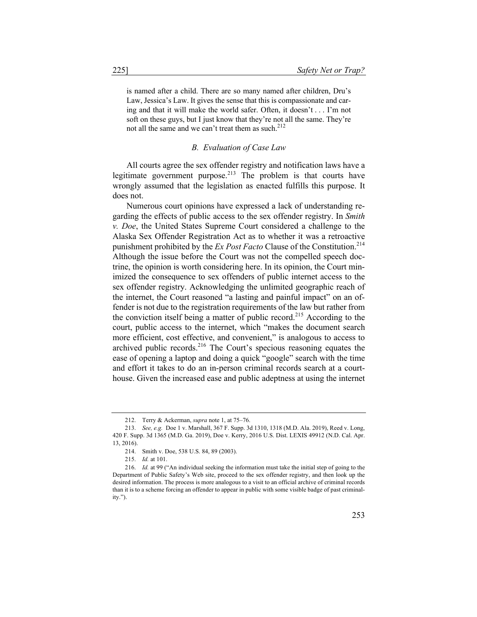is named after a child. There are so many named after children, Dru's Law, Jessica's Law. It gives the sense that this is compassionate and caring and that it will make the world safer. Often, it doesn't . . . I'm not soft on these guys, but I just know that they're not all the same. They're not all the same and we can't treat them as such. $212$ 

#### *B. Evaluation of Case Law*

All courts agree the sex offender registry and notification laws have a legitimate government purpose.<sup>213</sup> The problem is that courts have wrongly assumed that the legislation as enacted fulfills this purpose. It does not.

Numerous court opinions have expressed a lack of understanding regarding the effects of public access to the sex offender registry. In *Smith v. Doe*, the United States Supreme Court considered a challenge to the Alaska Sex Offender Registration Act as to whether it was a retroactive punishment prohibited by the *Ex Post Facto* Clause of the Constitution.214 Although the issue before the Court was not the compelled speech doctrine, the opinion is worth considering here. In its opinion, the Court minimized the consequence to sex offenders of public internet access to the sex offender registry. Acknowledging the unlimited geographic reach of the internet, the Court reasoned "a lasting and painful impact" on an offender is not due to the registration requirements of the law but rather from the conviction itself being a matter of public record.<sup>215</sup> According to the court, public access to the internet, which "makes the document search more efficient, cost effective, and convenient," is analogous to access to archived public records.<sup>216</sup> The Court's specious reasoning equates the ease of opening a laptop and doing a quick "google" search with the time and effort it takes to do an in-person criminal records search at a courthouse. Given the increased ease and public adeptness at using the internet

<sup>212.</sup> Terry & Ackerman, *supra* note 1, at 75–76.

<sup>213.</sup> *See, e.g.* Doe 1 v. Marshall, 367 F. Supp. 3d 1310, 1318 (M.D. Ala. 2019), Reed v. Long, 420 F. Supp. 3d 1365 (M.D. Ga. 2019), Doe v. Kerry, 2016 U.S. Dist. LEXIS 49912 (N.D. Cal. Apr. 13, 2016).

<sup>214.</sup> Smith v. Doe, 538 U.S. 84, 89 (2003).

<sup>215.</sup> *Id.* at 101.

<sup>216.</sup> *Id.* at 99 ("An individual seeking the information must take the initial step of going to the Department of Public Safety's Web site, proceed to the sex offender registry, and then look up the desired information. The process is more analogous to a visit to an official archive of criminal records than it is to a scheme forcing an offender to appear in public with some visible badge of past criminality.").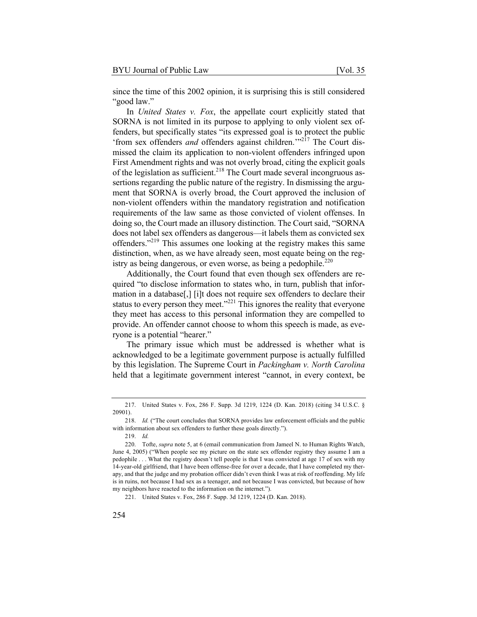since the time of this 2002 opinion, it is surprising this is still considered "good law."

In *United States v. Fox*, the appellate court explicitly stated that SORNA is not limited in its purpose to applying to only violent sex offenders, but specifically states "its expressed goal is to protect the public 'from sex offenders *and* offenders against children.'"<sup>217</sup> The Court dismissed the claim its application to non-violent offenders infringed upon First Amendment rights and was not overly broad, citing the explicit goals of the legislation as sufficient.<sup>218</sup> The Court made several incongruous assertions regarding the public nature of the registry. In dismissing the argument that SORNA is overly broad, the Court approved the inclusion of non-violent offenders within the mandatory registration and notification requirements of the law same as those convicted of violent offenses. In doing so, the Court made an illusory distinction. The Court said, "SORNA does not label sex offenders as dangerous—it labels them as convicted sex offenders."<sup>219</sup> This assumes one looking at the registry makes this same distinction, when, as we have already seen, most equate being on the registry as being dangerous, or even worse, as being a pedophile.<sup>220</sup>

Additionally, the Court found that even though sex offenders are required "to disclose information to states who, in turn, publish that information in a database[,] [i]t does not require sex offenders to declare their status to every person they meet."<sup>221</sup> This ignores the reality that everyone they meet has access to this personal information they are compelled to provide. An offender cannot choose to whom this speech is made, as everyone is a potential "hearer."

The primary issue which must be addressed is whether what is acknowledged to be a legitimate government purpose is actually fulfilled by this legislation. The Supreme Court in *Packingham v. North Carolina* held that a legitimate government interest "cannot, in every context, be

<sup>217.</sup> United States v. Fox, 286 F. Supp. 3d 1219, 1224 (D. Kan. 2018) (citing 34 U.S.C. § 20901).

<sup>218.</sup> *Id.* ("The court concludes that SORNA provides law enforcement officials and the public with information about sex offenders to further these goals directly.").

<sup>219.</sup> *Id.*

<sup>220.</sup> Tofte, *supra* note 5, at 6 (email communication from Jameel N. to Human Rights Watch, June 4, 2005) ("When people see my picture on the state sex offender registry they assume I am a pedophile . . . What the registry doesn't tell people is that I was convicted at age 17 of sex with my 14-year-old girlfriend, that I have been offense-free for over a decade, that I have completed my therapy, and that the judge and my probation officer didn't even think I was at risk of reoffending. My life is in ruins, not because I had sex as a teenager, and not because I was convicted, but because of how my neighbors have reacted to the information on the internet.").

<sup>221.</sup> United States v. Fox, 286 F. Supp. 3d 1219, 1224 (D. Kan. 2018).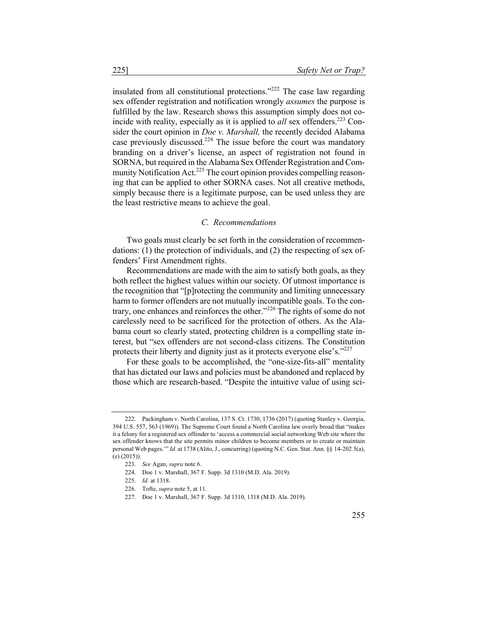insulated from all constitutional protections."<sup>222</sup> The case law regarding sex offender registration and notification wrongly *assumes* the purpose is fulfilled by the law. Research shows this assumption simply does not coincide with reality, especially as it is applied to *all* sex offenders.<sup>223</sup> Consider the court opinion in *Doe v. Marshall,* the recently decided Alabama case previously discussed.<sup>224</sup> The issue before the court was mandatory branding on a driver's license, an aspect of registration not found in SORNA, but required in the Alabama Sex Offender Registration and Community Notification Act.<sup>225</sup> The court opinion provides compelling reasoning that can be applied to other SORNA cases. Not all creative methods, simply because there is a legitimate purpose, can be used unless they are the least restrictive means to achieve the goal.

#### *C. Recommendations*

Two goals must clearly be set forth in the consideration of recommendations: (1) the protection of individuals, and (2) the respecting of sex offenders' First Amendment rights.

Recommendations are made with the aim to satisfy both goals, as they both reflect the highest values within our society. Of utmost importance is the recognition that "[p]rotecting the community and limiting unnecessary harm to former offenders are not mutually incompatible goals. To the contrary, one enhances and reinforces the other."<sup>226</sup> The rights of some do not carelessly need to be sacrificed for the protection of others. As the Alabama court so clearly stated, protecting children is a compelling state interest, but "sex offenders are not second-class citizens. The Constitution protects their liberty and dignity just as it protects everyone else's."<sup>227</sup>

For these goals to be accomplished, the "one-size-fits-all" mentality that has dictated our laws and policies must be abandoned and replaced by those which are research-based. "Despite the intuitive value of using sci-

<sup>222.</sup> Packingham v. North Carolina, 137 S. Ct. 1730, 1736 (2017) (quoting Stanley v. Georgia, 394 U.S. 557, 563 (1969)). The Supreme Court found a North Carolina law overly broad that "makes it a felony for a registered sex offender to 'access a commercial social networking Web site where the sex offender knows that the site permits minor children to become members or to create or maintain personal Web pages.'" *Id.* at 1738 (Alito, J., concurring) (quoting N.C. Gen. Stat. Ann. §§ 14-202.5(a), (e) (2015)).

<sup>223.</sup> *See* Agan, *supra* note 6.

<sup>224.</sup> Doe 1 v. Marshall, 367 F. Supp. 3d 1310 (M.D. Ala. 2019).

<sup>225.</sup> *Id.* at 1318.

<sup>226.</sup> Tofte, *supra* note 5, at 11.

<sup>227.</sup> Doe 1 v. Marshall, 367 F. Supp. 3d 1310, 1318 (M.D. Ala. 2019).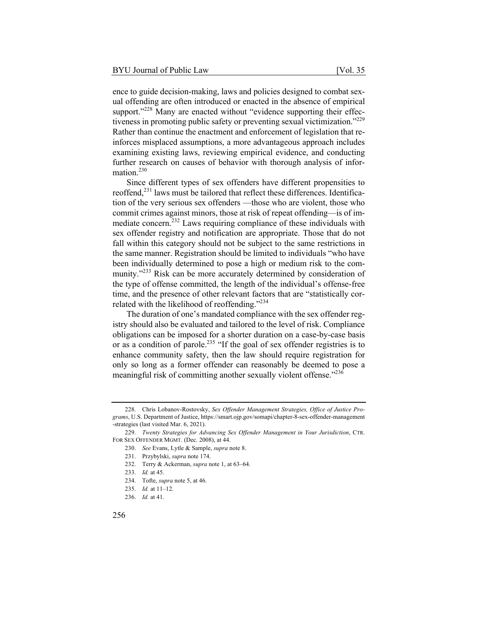ence to guide decision-making, laws and policies designed to combat sexual offending are often introduced or enacted in the absence of empirical support."<sup>228</sup> Many are enacted without "evidence supporting their effectiveness in promoting public safety or preventing sexual victimization."<sup>229</sup> Rather than continue the enactment and enforcement of legislation that reinforces misplaced assumptions, a more advantageous approach includes examining existing laws, reviewing empirical evidence, and conducting further research on causes of behavior with thorough analysis of information.<sup>230</sup>

Since different types of sex offenders have different propensities to reoffend,<sup>231</sup> laws must be tailored that reflect these differences. Identification of the very serious sex offenders —those who are violent, those who commit crimes against minors, those at risk of repeat offending—is of immediate concern.<sup>232</sup> Laws requiring compliance of these individuals with sex offender registry and notification are appropriate. Those that do not fall within this category should not be subject to the same restrictions in the same manner. Registration should be limited to individuals "who have been individually determined to pose a high or medium risk to the community."<sup>233</sup> Risk can be more accurately determined by consideration of the type of offense committed, the length of the individual's offense-free time, and the presence of other relevant factors that are "statistically correlated with the likelihood of reoffending."<sup>234</sup>

The duration of one's mandated compliance with the sex offender registry should also be evaluated and tailored to the level of risk. Compliance obligations can be imposed for a shorter duration on a case-by-case basis or as a condition of parole.<sup>235</sup> "If the goal of sex offender registries is to enhance community safety, then the law should require registration for only so long as a former offender can reasonably be deemed to pose a meaningful risk of committing another sexually violent offense."<sup>236</sup>

<sup>228.</sup> Chris Lobanov-Rostovsky, *Sex Offender Management Strategies, Office of Justice Programs*, U.S. Department of Justice, https://smart.ojp.gov/somapi/chapter-8-sex-offender-management -strategies (last visited Mar. 6, 2021).

<sup>229.</sup> *Twenty Strategies for Advancing Sex Offender Management in Your Jurisdiction*, CTR. FOR SEX OFFENDER MGMT. (Dec. 2008), at 44.

<sup>230.</sup> *See* Evans, Lytle & Sample, *supra* note 8.

<sup>231.</sup> Przybylski, *supra* note 174.

<sup>232.</sup> Terry & Ackerman, *supra* note 1, at 63–64.

<sup>233.</sup> *Id.* at 45.

<sup>234.</sup> Tofte, *supra* note 5, at 46.

<sup>235.</sup> *Id.* at 11–12.

<sup>236.</sup> *Id.* at 41.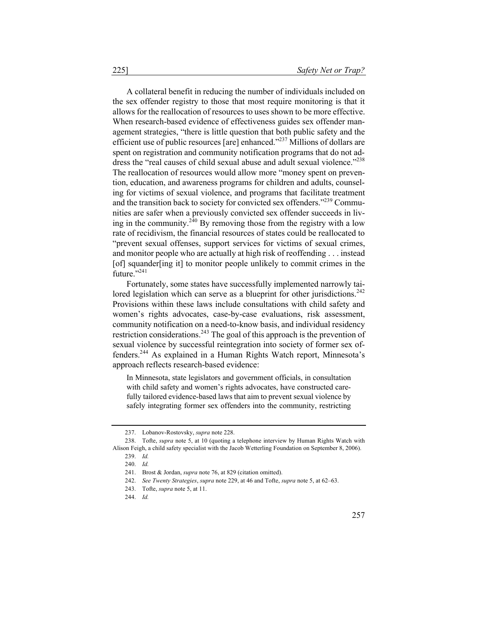A collateral benefit in reducing the number of individuals included on the sex offender registry to those that most require monitoring is that it allows for the reallocation of resources to uses shown to be more effective. When research-based evidence of effectiveness guides sex offender management strategies, "there is little question that both public safety and the efficient use of public resources [are] enhanced."237 Millions of dollars are spent on registration and community notification programs that do not address the "real causes of child sexual abuse and adult sexual violence."<sup>238</sup> The reallocation of resources would allow more "money spent on prevention, education, and awareness programs for children and adults, counseling for victims of sexual violence, and programs that facilitate treatment and the transition back to society for convicted sex offenders."<sup>239</sup> Communities are safer when a previously convicted sex offender succeeds in living in the community.<sup>240</sup> By removing those from the registry with a low rate of recidivism, the financial resources of states could be reallocated to "prevent sexual offenses, support services for victims of sexual crimes, and monitor people who are actually at high risk of reoffending . . . instead [of] squander[ing it] to monitor people unlikely to commit crimes in the future."241

Fortunately, some states have successfully implemented narrowly tailored legislation which can serve as a blueprint for other jurisdictions.<sup>242</sup> Provisions within these laws include consultations with child safety and women's rights advocates, case-by-case evaluations, risk assessment, community notification on a need-to-know basis, and individual residency restriction considerations.<sup>243</sup> The goal of this approach is the prevention of sexual violence by successful reintegration into society of former sex offenders.<sup>244</sup> As explained in a Human Rights Watch report, Minnesota's approach reflects research-based evidence:

In Minnesota, state legislators and government officials, in consultation with child safety and women's rights advocates, have constructed carefully tailored evidence-based laws that aim to prevent sexual violence by safely integrating former sex offenders into the community, restricting

<sup>237.</sup> Lobanov-Rostovsky, *supra* note 228.

<sup>238.</sup> Tofte, *supra* note 5, at 10 (quoting a telephone interview by Human Rights Watch with Alison Feigh, a child safety specialist with the Jacob Wetterling Foundation on September 8, 2006). 239. *Id.*

<sup>240.</sup> *Id.*

<sup>241.</sup> Brost & Jordan, *supra* note 76, at 829 (citation omitted).

<sup>242.</sup> *See Twenty Strategies*, *supra* note 229, at 46 and Tofte, *supra* note 5, at 62–63.

<sup>243.</sup> Tofte, *supra* note 5, at 11.

<sup>244.</sup> *Id.*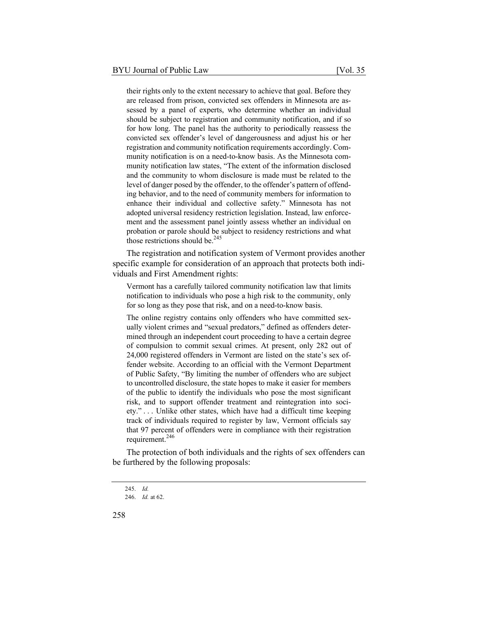their rights only to the extent necessary to achieve that goal. Before they are released from prison, convicted sex offenders in Minnesota are assessed by a panel of experts, who determine whether an individual should be subject to registration and community notification, and if so for how long. The panel has the authority to periodically reassess the convicted sex offender's level of dangerousness and adjust his or her registration and community notification requirements accordingly. Community notification is on a need-to-know basis. As the Minnesota community notification law states, "The extent of the information disclosed and the community to whom disclosure is made must be related to the level of danger posed by the offender, to the offender's pattern of offending behavior, and to the need of community members for information to enhance their individual and collective safety." Minnesota has not adopted universal residency restriction legislation. Instead, law enforcement and the assessment panel jointly assess whether an individual on probation or parole should be subject to residency restrictions and what those restrictions should be. $245$ 

The registration and notification system of Vermont provides another specific example for consideration of an approach that protects both individuals and First Amendment rights:

Vermont has a carefully tailored community notification law that limits notification to individuals who pose a high risk to the community, only for so long as they pose that risk, and on a need-to-know basis.

The online registry contains only offenders who have committed sexually violent crimes and "sexual predators," defined as offenders determined through an independent court proceeding to have a certain degree of compulsion to commit sexual crimes. At present, only 282 out of 24,000 registered offenders in Vermont are listed on the state's sex offender website. According to an official with the Vermont Department of Public Safety, "By limiting the number of offenders who are subject to uncontrolled disclosure, the state hopes to make it easier for members of the public to identify the individuals who pose the most significant risk, and to support offender treatment and reintegration into society." . . . Unlike other states, which have had a difficult time keeping track of individuals required to register by law, Vermont officials say that 97 percent of offenders were in compliance with their registration requirement.<sup>246</sup>

The protection of both individuals and the rights of sex offenders can be furthered by the following proposals:

<sup>245.</sup> *Id.*

<sup>246.</sup> *Id.* at 62.